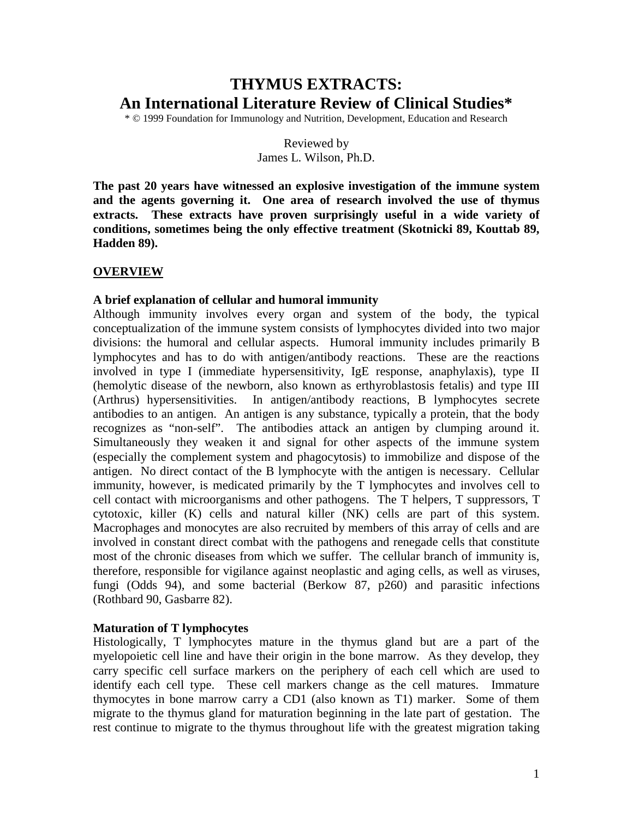# **THYMUS EXTRACTS: An International Literature Review of Clinical Studies\***

\* © 1999 Foundation for Immunology and Nutrition, Development, Education and Research

Reviewed by James L. Wilson, Ph.D.

**The past 20 years have witnessed an explosive investigation of the immune system and the agents governing it. One area of research involved the use of thymus extracts. These extracts have proven surprisingly useful in a wide variety of conditions, sometimes being the only effective treatment (Skotnicki 89, Kouttab 89, Hadden 89).**

## **OVERVIEW**

## **A brief explanation of cellular and humoral immunity**

Although immunity involves every organ and system of the body, the typical conceptualization of the immune system consists of lymphocytes divided into two major divisions: the humoral and cellular aspects. Humoral immunity includes primarily B lymphocytes and has to do with antigen/antibody reactions. These are the reactions involved in type I (immediate hypersensitivity, IgE response, anaphylaxis), type II (hemolytic disease of the newborn, also known as erthyroblastosis fetalis) and type III (Arthrus) hypersensitivities. In antigen/antibody reactions, B lymphocytes secrete antibodies to an antigen. An antigen is any substance, typically a protein, that the body recognizes as "non-self". The antibodies attack an antigen by clumping around it. Simultaneously they weaken it and signal for other aspects of the immune system (especially the complement system and phagocytosis) to immobilize and dispose of the antigen. No direct contact of the B lymphocyte with the antigen is necessary. Cellular immunity, however, is medicated primarily by the T lymphocytes and involves cell to cell contact with microorganisms and other pathogens. The T helpers, T suppressors, T cytotoxic, killer (K) cells and natural killer (NK) cells are part of this system. Macrophages and monocytes are also recruited by members of this array of cells and are involved in constant direct combat with the pathogens and renegade cells that constitute most of the chronic diseases from which we suffer. The cellular branch of immunity is, therefore, responsible for vigilance against neoplastic and aging cells, as well as viruses, fungi (Odds 94), and some bacterial (Berkow 87, p260) and parasitic infections (Rothbard 90, Gasbarre 82).

## **Maturation of T lymphocytes**

Histologically, T lymphocytes mature in the thymus gland but are a part of the myelopoietic cell line and have their origin in the bone marrow. As they develop, they carry specific cell surface markers on the periphery of each cell which are used to identify each cell type. These cell markers change as the cell matures. Immature thymocytes in bone marrow carry a CD1 (also known as T1) marker. Some of them migrate to the thymus gland for maturation beginning in the late part of gestation. The rest continue to migrate to the thymus throughout life with the greatest migration taking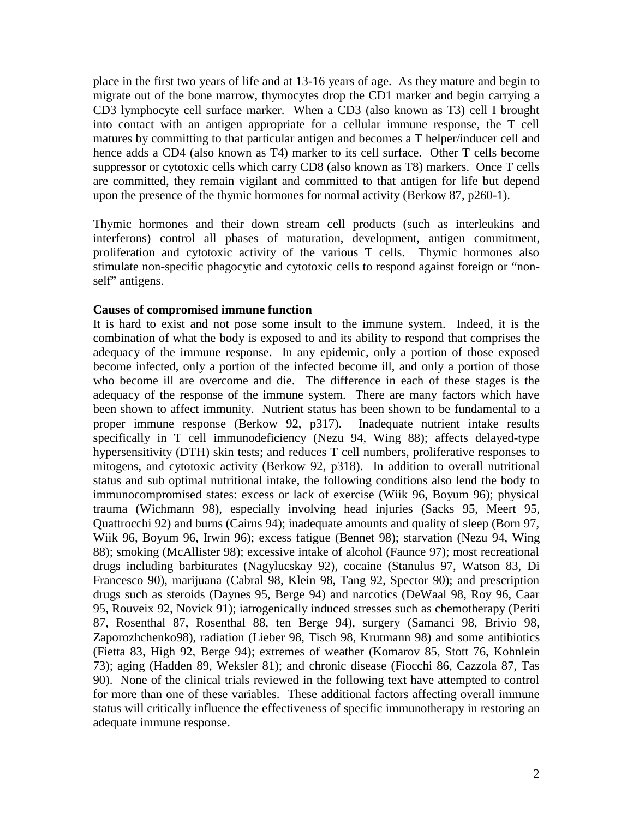place in the first two years of life and at 13-16 years of age. As they mature and begin to migrate out of the bone marrow, thymocytes drop the CD1 marker and begin carrying a CD3 lymphocyte cell surface marker. When a CD3 (also known as T3) cell I brought into contact with an antigen appropriate for a cellular immune response, the T cell matures by committing to that particular antigen and becomes a T helper/inducer cell and hence adds a CD4 (also known as T4) marker to its cell surface. Other T cells become suppressor or cytotoxic cells which carry CD8 (also known as T8) markers. Once T cells are committed, they remain vigilant and committed to that antigen for life but depend upon the presence of the thymic hormones for normal activity (Berkow 87, p260-1).

Thymic hormones and their down stream cell products (such as interleukins and interferons) control all phases of maturation, development, antigen commitment, proliferation and cytotoxic activity of the various T cells. Thymic hormones also stimulate non-specific phagocytic and cytotoxic cells to respond against foreign or "nonself" antigens.

#### **Causes of compromised immune function**

It is hard to exist and not pose some insult to the immune system. Indeed, it is the combination of what the body is exposed to and its ability to respond that comprises the adequacy of the immune response. In any epidemic, only a portion of those exposed become infected, only a portion of the infected become ill, and only a portion of those who become ill are overcome and die. The difference in each of these stages is the adequacy of the response of the immune system. There are many factors which have been shown to affect immunity. Nutrient status has been shown to be fundamental to a proper immune response (Berkow 92, p317). Inadequate nutrient intake results specifically in T cell immunodeficiency (Nezu 94, Wing 88); affects delayed-type hypersensitivity (DTH) skin tests; and reduces T cell numbers, proliferative responses to mitogens, and cytotoxic activity (Berkow 92, p318). In addition to overall nutritional status and sub optimal nutritional intake, the following conditions also lend the body to immunocompromised states: excess or lack of exercise (Wiik 96, Boyum 96); physical trauma (Wichmann 98), especially involving head injuries (Sacks 95, Meert 95, Quattrocchi 92) and burns (Cairns 94); inadequate amounts and quality of sleep (Born 97, Wiik 96, Boyum 96, Irwin 96); excess fatigue (Bennet 98); starvation (Nezu 94, Wing 88); smoking (McAllister 98); excessive intake of alcohol (Faunce 97); most recreational drugs including barbiturates (Nagylucskay 92), cocaine (Stanulus 97, Watson 83, Di Francesco 90), marijuana (Cabral 98, Klein 98, Tang 92, Spector 90); and prescription drugs such as steroids (Daynes 95, Berge 94) and narcotics (DeWaal 98, Roy 96, Caar 95, Rouveix 92, Novick 91); iatrogenically induced stresses such as chemotherapy (Periti 87, Rosenthal 87, Rosenthal 88, ten Berge 94), surgery (Samanci 98, Brivio 98, Zaporozhchenko98), radiation (Lieber 98, Tisch 98, Krutmann 98) and some antibiotics (Fietta 83, High 92, Berge 94); extremes of weather (Komarov 85, Stott 76, Kohnlein 73); aging (Hadden 89, Weksler 81); and chronic disease (Fiocchi 86, Cazzola 87, Tas 90). None of the clinical trials reviewed in the following text have attempted to control for more than one of these variables. These additional factors affecting overall immune status will critically influence the effectiveness of specific immunotherapy in restoring an adequate immune response.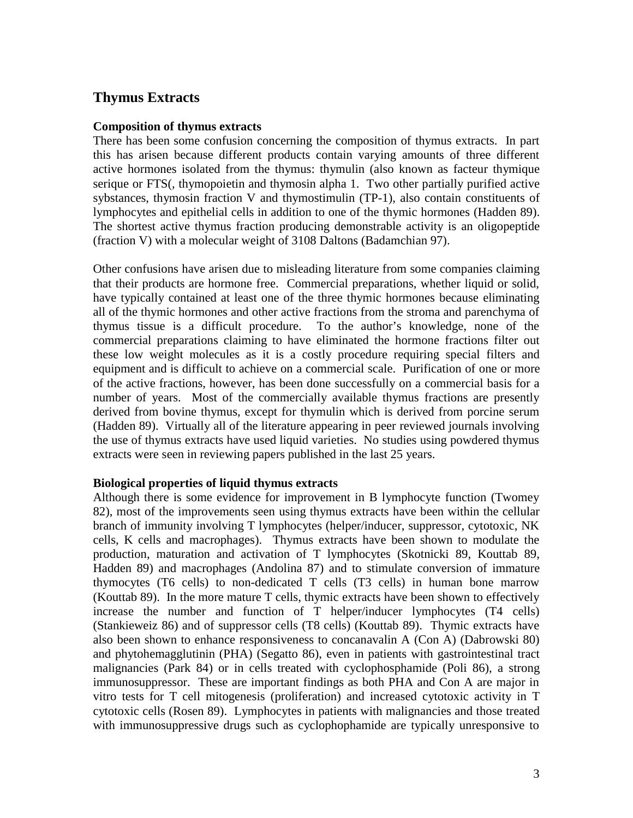## **Thymus Extracts**

#### **Composition of thymus extracts**

There has been some confusion concerning the composition of thymus extracts. In part this has arisen because different products contain varying amounts of three different active hormones isolated from the thymus: thymulin (also known as facteur thymique serique or FTS(, thymopoietin and thymosin alpha 1. Two other partially purified active sybstances, thymosin fraction V and thymostimulin (TP-1), also contain constituents of lymphocytes and epithelial cells in addition to one of the thymic hormones (Hadden 89). The shortest active thymus fraction producing demonstrable activity is an oligopeptide (fraction V) with a molecular weight of 3108 Daltons (Badamchian 97).

Other confusions have arisen due to misleading literature from some companies claiming that their products are hormone free. Commercial preparations, whether liquid or solid, have typically contained at least one of the three thymic hormones because eliminating all of the thymic hormones and other active fractions from the stroma and parenchyma of thymus tissue is a difficult procedure. To the author's knowledge, none of the commercial preparations claiming to have eliminated the hormone fractions filter out these low weight molecules as it is a costly procedure requiring special filters and equipment and is difficult to achieve on a commercial scale. Purification of one or more of the active fractions, however, has been done successfully on a commercial basis for a number of years. Most of the commercially available thymus fractions are presently derived from bovine thymus, except for thymulin which is derived from porcine serum (Hadden 89). Virtually all of the literature appearing in peer reviewed journals involving the use of thymus extracts have used liquid varieties. No studies using powdered thymus extracts were seen in reviewing papers published in the last 25 years.

## **Biological properties of liquid thymus extracts**

Although there is some evidence for improvement in B lymphocyte function (Twomey 82), most of the improvements seen using thymus extracts have been within the cellular branch of immunity involving T lymphocytes (helper/inducer, suppressor, cytotoxic, NK cells, K cells and macrophages). Thymus extracts have been shown to modulate the production, maturation and activation of T lymphocytes (Skotnicki 89, Kouttab 89, Hadden 89) and macrophages (Andolina 87) and to stimulate conversion of immature thymocytes (T6 cells) to non-dedicated T cells (T3 cells) in human bone marrow (Kouttab 89). In the more mature T cells, thymic extracts have been shown to effectively increase the number and function of T helper/inducer lymphocytes (T4 cells) (Stankieweiz 86) and of suppressor cells (T8 cells) (Kouttab 89). Thymic extracts have also been shown to enhance responsiveness to concanavalin A (Con A) (Dabrowski 80) and phytohemagglutinin (PHA) (Segatto 86), even in patients with gastrointestinal tract malignancies (Park 84) or in cells treated with cyclophosphamide (Poli 86), a strong immunosuppressor. These are important findings as both PHA and Con A are major in vitro tests for T cell mitogenesis (proliferation) and increased cytotoxic activity in T cytotoxic cells (Rosen 89). Lymphocytes in patients with malignancies and those treated with immunosuppressive drugs such as cyclophophamide are typically unresponsive to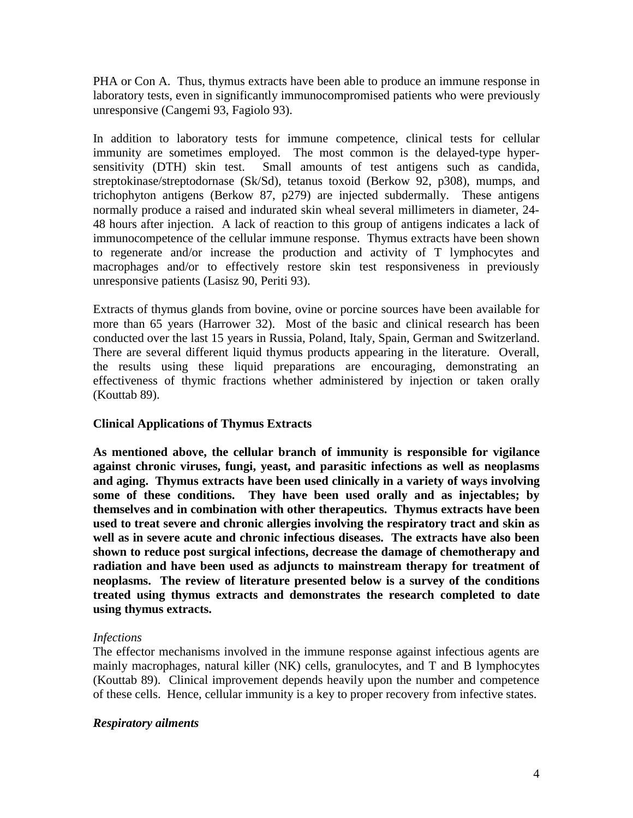PHA or Con A. Thus, thymus extracts have been able to produce an immune response in laboratory tests, even in significantly immunocompromised patients who were previously unresponsive (Cangemi 93, Fagiolo 93).

In addition to laboratory tests for immune competence, clinical tests for cellular immunity are sometimes employed. The most common is the delayed-type hypersensitivity (DTH) skin test. Small amounts of test antigens such as candida, streptokinase/streptodornase (Sk/Sd), tetanus toxoid (Berkow 92, p308), mumps, and trichophyton antigens (Berkow 87, p279) are injected subdermally. These antigens normally produce a raised and indurated skin wheal several millimeters in diameter, 24- 48 hours after injection. A lack of reaction to this group of antigens indicates a lack of immunocompetence of the cellular immune response. Thymus extracts have been shown to regenerate and/or increase the production and activity of T lymphocytes and macrophages and/or to effectively restore skin test responsiveness in previously unresponsive patients (Lasisz 90, Periti 93).

Extracts of thymus glands from bovine, ovine or porcine sources have been available for more than 65 years (Harrower 32). Most of the basic and clinical research has been conducted over the last 15 years in Russia, Poland, Italy, Spain, German and Switzerland. There are several different liquid thymus products appearing in the literature. Overall, the results using these liquid preparations are encouraging, demonstrating an effectiveness of thymic fractions whether administered by injection or taken orally (Kouttab 89).

## **Clinical Applications of Thymus Extracts**

**As mentioned above, the cellular branch of immunity is responsible for vigilance against chronic viruses, fungi, yeast, and parasitic infections as well as neoplasms and aging. Thymus extracts have been used clinically in a variety of ways involving some of these conditions. They have been used orally and as injectables; by themselves and in combination with other therapeutics. Thymus extracts have been used to treat severe and chronic allergies involving the respiratory tract and skin as well as in severe acute and chronic infectious diseases. The extracts have also been shown to reduce post surgical infections, decrease the damage of chemotherapy and radiation and have been used as adjuncts to mainstream therapy for treatment of neoplasms. The review of literature presented below is a survey of the conditions treated using thymus extracts and demonstrates the research completed to date using thymus extracts.**

## *Infections*

The effector mechanisms involved in the immune response against infectious agents are mainly macrophages, natural killer (NK) cells, granulocytes, and T and B lymphocytes (Kouttab 89). Clinical improvement depends heavily upon the number and competence of these cells. Hence, cellular immunity is a key to proper recovery from infective states.

## *Respiratory ailments*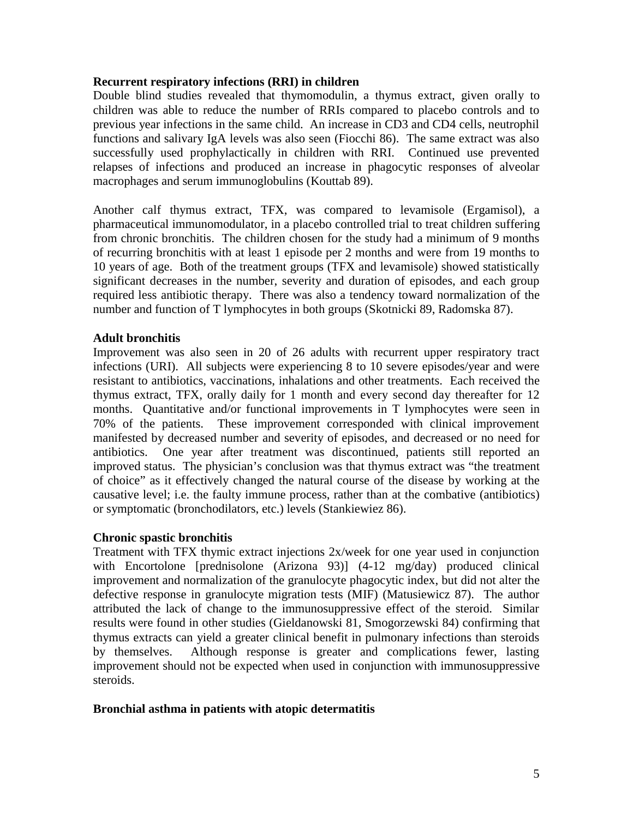#### **Recurrent respiratory infections (RRI) in children**

Double blind studies revealed that thymomodulin, a thymus extract, given orally to children was able to reduce the number of RRIs compared to placebo controls and to previous year infections in the same child. An increase in CD3 and CD4 cells, neutrophil functions and salivary IgA levels was also seen (Fiocchi 86). The same extract was also successfully used prophylactically in children with RRI. Continued use prevented relapses of infections and produced an increase in phagocytic responses of alveolar macrophages and serum immunoglobulins (Kouttab 89).

Another calf thymus extract, TFX, was compared to levamisole (Ergamisol), a pharmaceutical immunomodulator, in a placebo controlled trial to treat children suffering from chronic bronchitis. The children chosen for the study had a minimum of 9 months of recurring bronchitis with at least 1 episode per 2 months and were from 19 months to 10 years of age. Both of the treatment groups (TFX and levamisole) showed statistically significant decreases in the number, severity and duration of episodes, and each group required less antibiotic therapy. There was also a tendency toward normalization of the number and function of T lymphocytes in both groups (Skotnicki 89, Radomska 87).

## **Adult bronchitis**

Improvement was also seen in 20 of 26 adults with recurrent upper respiratory tract infections (URI). All subjects were experiencing 8 to 10 severe episodes/year and were resistant to antibiotics, vaccinations, inhalations and other treatments. Each received the thymus extract, TFX, orally daily for 1 month and every second day thereafter for 12 months. Quantitative and/or functional improvements in T lymphocytes were seen in 70% of the patients. These improvement corresponded with clinical improvement manifested by decreased number and severity of episodes, and decreased or no need for antibiotics. One year after treatment was discontinued, patients still reported an improved status. The physician's conclusion was that thymus extract was "the treatment of choice" as it effectively changed the natural course of the disease by working at the causative level; i.e. the faulty immune process, rather than at the combative (antibiotics) or symptomatic (bronchodilators, etc.) levels (Stankiewiez 86).

#### **Chronic spastic bronchitis**

Treatment with TFX thymic extract injections 2x/week for one year used in conjunction with Encortolone [prednisolone (Arizona 93)] (4-12 mg/day) produced clinical improvement and normalization of the granulocyte phagocytic index, but did not alter the defective response in granulocyte migration tests (MIF) (Matusiewicz 87). The author attributed the lack of change to the immunosuppressive effect of the steroid. Similar results were found in other studies (Gieldanowski 81, Smogorzewski 84) confirming that thymus extracts can yield a greater clinical benefit in pulmonary infections than steroids by themselves. Although response is greater and complications fewer, lasting improvement should not be expected when used in conjunction with immunosuppressive steroids.

#### **Bronchial asthma in patients with atopic determatitis**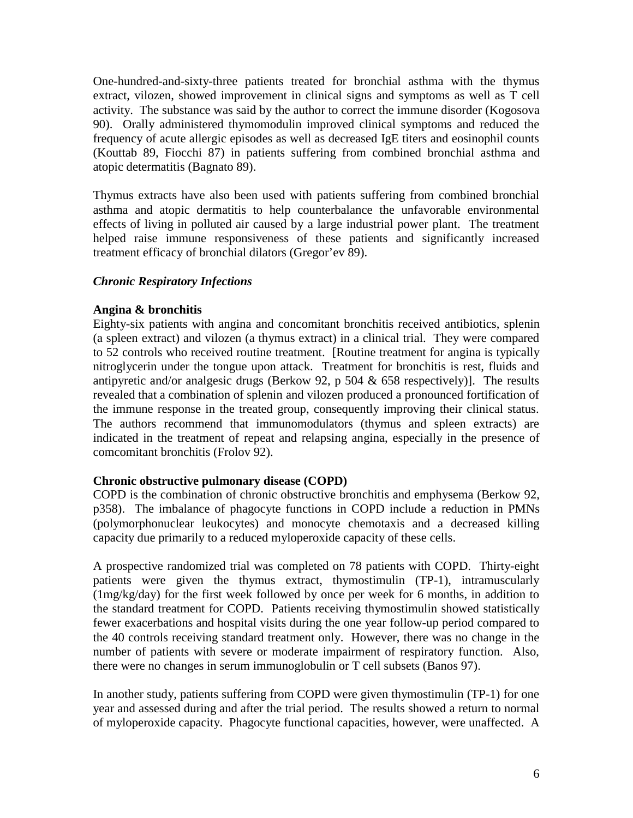One-hundred-and-sixty-three patients treated for bronchial asthma with the thymus extract, vilozen, showed improvement in clinical signs and symptoms as well as T cell activity. The substance was said by the author to correct the immune disorder (Kogosova 90). Orally administered thymomodulin improved clinical symptoms and reduced the frequency of acute allergic episodes as well as decreased IgE titers and eosinophil counts (Kouttab 89, Fiocchi 87) in patients suffering from combined bronchial asthma and atopic determatitis (Bagnato 89).

Thymus extracts have also been used with patients suffering from combined bronchial asthma and atopic dermatitis to help counterbalance the unfavorable environmental effects of living in polluted air caused by a large industrial power plant. The treatment helped raise immune responsiveness of these patients and significantly increased treatment efficacy of bronchial dilators (Gregor'ev 89).

## *Chronic Respiratory Infections*

## **Angina & bronchitis**

Eighty-six patients with angina and concomitant bronchitis received antibiotics, splenin (a spleen extract) and vilozen (a thymus extract) in a clinical trial. They were compared to 52 controls who received routine treatment. [Routine treatment for angina is typically nitroglycerin under the tongue upon attack. Treatment for bronchitis is rest, fluids and antipyretic and/or analgesic drugs (Berkow 92, p 504 & 658 respectively)]. The results revealed that a combination of splenin and vilozen produced a pronounced fortification of the immune response in the treated group, consequently improving their clinical status. The authors recommend that immunomodulators (thymus and spleen extracts) are indicated in the treatment of repeat and relapsing angina, especially in the presence of comcomitant bronchitis (Frolov 92).

## **Chronic obstructive pulmonary disease (COPD)**

COPD is the combination of chronic obstructive bronchitis and emphysema (Berkow 92, p358). The imbalance of phagocyte functions in COPD include a reduction in PMNs (polymorphonuclear leukocytes) and monocyte chemotaxis and a decreased killing capacity due primarily to a reduced myloperoxide capacity of these cells.

A prospective randomized trial was completed on 78 patients with COPD. Thirty-eight patients were given the thymus extract, thymostimulin (TP-1), intramuscularly (1mg/kg/day) for the first week followed by once per week for 6 months, in addition to the standard treatment for COPD. Patients receiving thymostimulin showed statistically fewer exacerbations and hospital visits during the one year follow-up period compared to the 40 controls receiving standard treatment only. However, there was no change in the number of patients with severe or moderate impairment of respiratory function. Also, there were no changes in serum immunoglobulin or T cell subsets (Banos 97).

In another study, patients suffering from COPD were given thymostimulin (TP-1) for one year and assessed during and after the trial period. The results showed a return to normal of myloperoxide capacity. Phagocyte functional capacities, however, were unaffected. A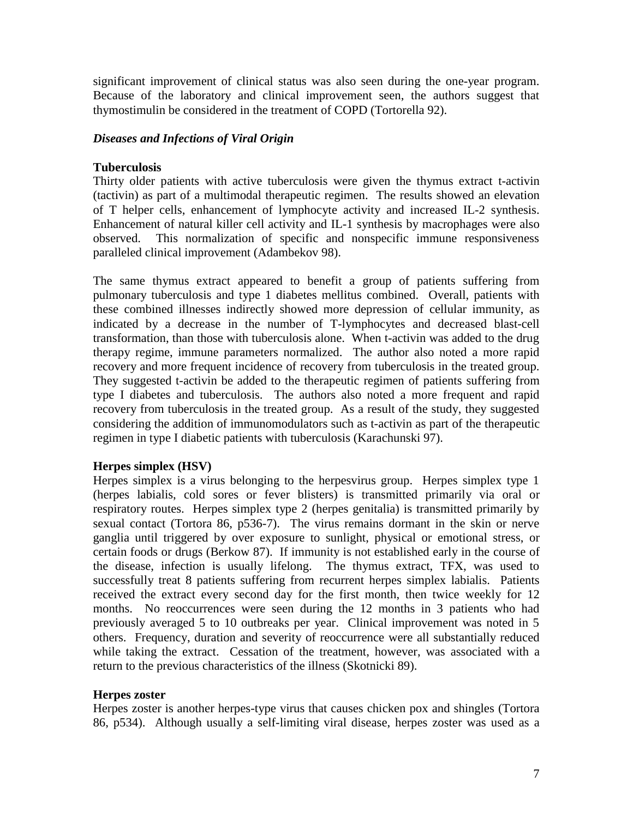significant improvement of clinical status was also seen during the one-year program. Because of the laboratory and clinical improvement seen, the authors suggest that thymostimulin be considered in the treatment of COPD (Tortorella 92).

## *Diseases and Infections of Viral Origin*

## **Tuberculosis**

Thirty older patients with active tuberculosis were given the thymus extract t-activin (tactivin) as part of a multimodal therapeutic regimen. The results showed an elevation of T helper cells, enhancement of lymphocyte activity and increased IL-2 synthesis. Enhancement of natural killer cell activity and IL-1 synthesis by macrophages were also observed. This normalization of specific and nonspecific immune responsiveness paralleled clinical improvement (Adambekov 98).

The same thymus extract appeared to benefit a group of patients suffering from pulmonary tuberculosis and type 1 diabetes mellitus combined. Overall, patients with these combined illnesses indirectly showed more depression of cellular immunity, as indicated by a decrease in the number of T-lymphocytes and decreased blast-cell transformation, than those with tuberculosis alone. When t-activin was added to the drug therapy regime, immune parameters normalized. The author also noted a more rapid recovery and more frequent incidence of recovery from tuberculosis in the treated group. They suggested t-activin be added to the therapeutic regimen of patients suffering from type I diabetes and tuberculosis. The authors also noted a more frequent and rapid recovery from tuberculosis in the treated group. As a result of the study, they suggested considering the addition of immunomodulators such as t-activin as part of the therapeutic regimen in type I diabetic patients with tuberculosis (Karachunski 97).

## **Herpes simplex (HSV)**

Herpes simplex is a virus belonging to the herpesvirus group. Herpes simplex type 1 (herpes labialis, cold sores or fever blisters) is transmitted primarily via oral or respiratory routes. Herpes simplex type 2 (herpes genitalia) is transmitted primarily by sexual contact (Tortora 86, p536-7). The virus remains dormant in the skin or nerve ganglia until triggered by over exposure to sunlight, physical or emotional stress, or certain foods or drugs (Berkow 87). If immunity is not established early in the course of the disease, infection is usually lifelong. The thymus extract, TFX, was used to successfully treat 8 patients suffering from recurrent herpes simplex labialis. Patients received the extract every second day for the first month, then twice weekly for 12 months. No reoccurrences were seen during the 12 months in 3 patients who had previously averaged 5 to 10 outbreaks per year. Clinical improvement was noted in 5 others. Frequency, duration and severity of reoccurrence were all substantially reduced while taking the extract. Cessation of the treatment, however, was associated with a return to the previous characteristics of the illness (Skotnicki 89).

## **Herpes zoster**

Herpes zoster is another herpes-type virus that causes chicken pox and shingles (Tortora 86, p534). Although usually a self-limiting viral disease, herpes zoster was used as a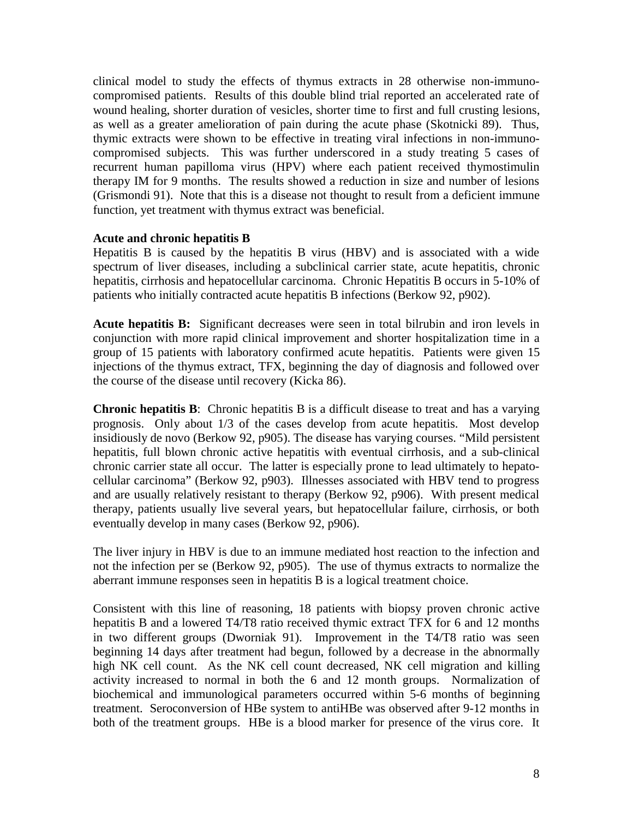clinical model to study the effects of thymus extracts in 28 otherwise non-immunocompromised patients. Results of this double blind trial reported an accelerated rate of wound healing, shorter duration of vesicles, shorter time to first and full crusting lesions, as well as a greater amelioration of pain during the acute phase (Skotnicki 89). Thus, thymic extracts were shown to be effective in treating viral infections in non-immunocompromised subjects. This was further underscored in a study treating 5 cases of recurrent human papilloma virus (HPV) where each patient received thymostimulin therapy IM for 9 months. The results showed a reduction in size and number of lesions (Grismondi 91). Note that this is a disease not thought to result from a deficient immune function, yet treatment with thymus extract was beneficial.

#### **Acute and chronic hepatitis B**

Hepatitis B is caused by the hepatitis B virus (HBV) and is associated with a wide spectrum of liver diseases, including a subclinical carrier state, acute hepatitis, chronic hepatitis, cirrhosis and hepatocellular carcinoma. Chronic Hepatitis B occurs in 5-10% of patients who initially contracted acute hepatitis B infections (Berkow 92, p902).

**Acute hepatitis B:** Significant decreases were seen in total bilrubin and iron levels in conjunction with more rapid clinical improvement and shorter hospitalization time in a group of 15 patients with laboratory confirmed acute hepatitis. Patients were given 15 injections of the thymus extract, TFX, beginning the day of diagnosis and followed over the course of the disease until recovery (Kicka 86).

**Chronic hepatitis B**: Chronic hepatitis B is a difficult disease to treat and has a varying prognosis. Only about 1/3 of the cases develop from acute hepatitis. Most develop insidiously de novo (Berkow 92, p905). The disease has varying courses. "Mild persistent hepatitis, full blown chronic active hepatitis with eventual cirrhosis, and a sub-clinical chronic carrier state all occur. The latter is especially prone to lead ultimately to hepatocellular carcinoma" (Berkow 92, p903). Illnesses associated with HBV tend to progress and are usually relatively resistant to therapy (Berkow 92, p906). With present medical therapy, patients usually live several years, but hepatocellular failure, cirrhosis, or both eventually develop in many cases (Berkow 92, p906).

The liver injury in HBV is due to an immune mediated host reaction to the infection and not the infection per se (Berkow 92, p905). The use of thymus extracts to normalize the aberrant immune responses seen in hepatitis B is a logical treatment choice.

Consistent with this line of reasoning, 18 patients with biopsy proven chronic active hepatitis B and a lowered T4/T8 ratio received thymic extract TFX for 6 and 12 months in two different groups (Dworniak 91). Improvement in the T4/T8 ratio was seen beginning 14 days after treatment had begun, followed by a decrease in the abnormally high NK cell count. As the NK cell count decreased, NK cell migration and killing activity increased to normal in both the 6 and 12 month groups. Normalization of biochemical and immunological parameters occurred within 5-6 months of beginning treatment. Seroconversion of HBe system to antiHBe was observed after 9-12 months in both of the treatment groups. HBe is a blood marker for presence of the virus core. It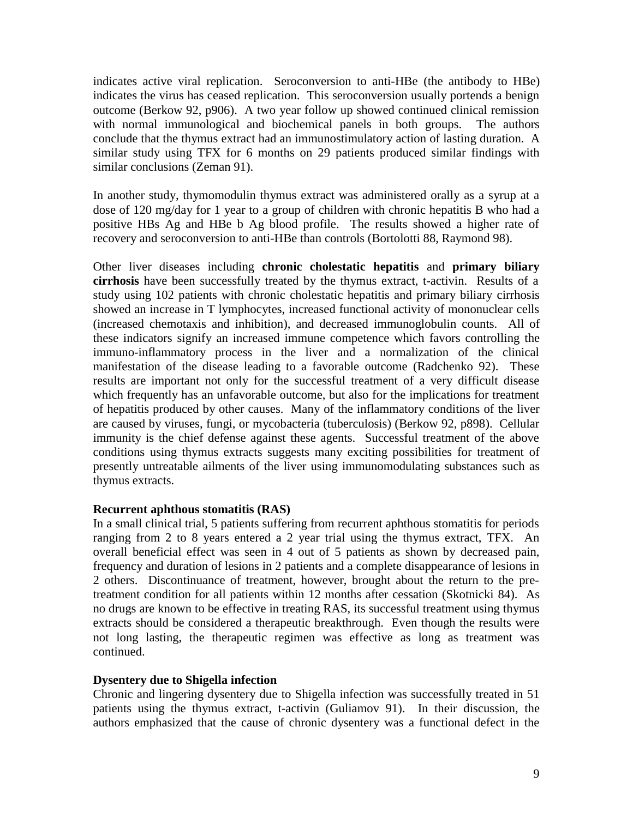indicates active viral replication. Seroconversion to anti-HBe (the antibody to HBe) indicates the virus has ceased replication. This seroconversion usually portends a benign outcome (Berkow 92, p906). A two year follow up showed continued clinical remission with normal immunological and biochemical panels in both groups. The authors conclude that the thymus extract had an immunostimulatory action of lasting duration. A similar study using TFX for 6 months on 29 patients produced similar findings with similar conclusions (Zeman 91).

In another study, thymomodulin thymus extract was administered orally as a syrup at a dose of 120 mg/day for 1 year to a group of children with chronic hepatitis B who had a positive HBs Ag and HBe b Ag blood profile. The results showed a higher rate of recovery and seroconversion to anti-HBe than controls (Bortolotti 88, Raymond 98).

Other liver diseases including **chronic cholestatic hepatitis** and **primary biliary cirrhosis** have been successfully treated by the thymus extract, t-activin. Results of a study using 102 patients with chronic cholestatic hepatitis and primary biliary cirrhosis showed an increase in T lymphocytes, increased functional activity of mononuclear cells (increased chemotaxis and inhibition), and decreased immunoglobulin counts. All of these indicators signify an increased immune competence which favors controlling the immuno-inflammatory process in the liver and a normalization of the clinical manifestation of the disease leading to a favorable outcome (Radchenko 92). These results are important not only for the successful treatment of a very difficult disease which frequently has an unfavorable outcome, but also for the implications for treatment of hepatitis produced by other causes. Many of the inflammatory conditions of the liver are caused by viruses, fungi, or mycobacteria (tuberculosis) (Berkow 92, p898). Cellular immunity is the chief defense against these agents. Successful treatment of the above conditions using thymus extracts suggests many exciting possibilities for treatment of presently untreatable ailments of the liver using immunomodulating substances such as thymus extracts.

## **Recurrent aphthous stomatitis (RAS)**

In a small clinical trial, 5 patients suffering from recurrent aphthous stomatitis for periods ranging from 2 to 8 years entered a 2 year trial using the thymus extract, TFX. An overall beneficial effect was seen in 4 out of 5 patients as shown by decreased pain, frequency and duration of lesions in 2 patients and a complete disappearance of lesions in 2 others. Discontinuance of treatment, however, brought about the return to the pretreatment condition for all patients within 12 months after cessation (Skotnicki 84). As no drugs are known to be effective in treating RAS, its successful treatment using thymus extracts should be considered a therapeutic breakthrough. Even though the results were not long lasting, the therapeutic regimen was effective as long as treatment was continued.

#### **Dysentery due to Shigella infection**

Chronic and lingering dysentery due to Shigella infection was successfully treated in 51 patients using the thymus extract, t-activin (Guliamov 91). In their discussion, the authors emphasized that the cause of chronic dysentery was a functional defect in the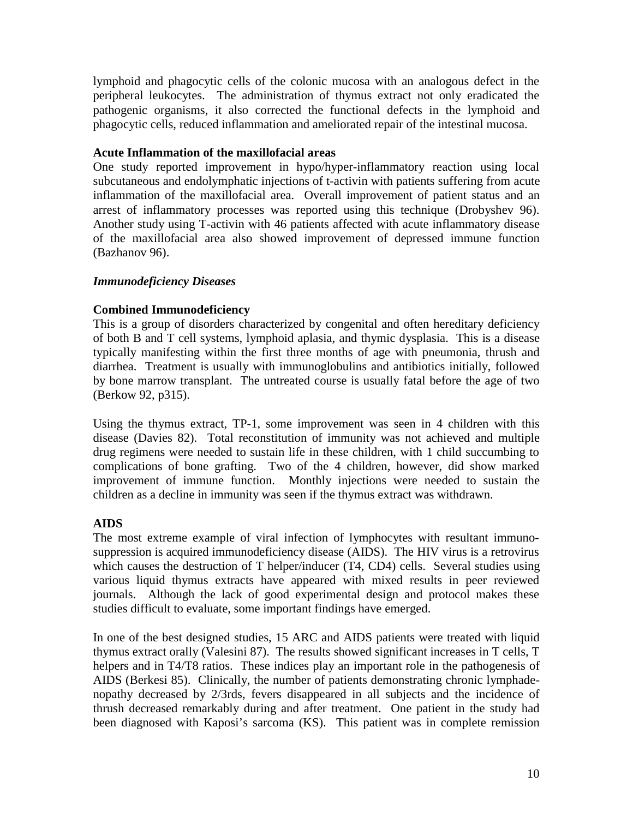lymphoid and phagocytic cells of the colonic mucosa with an analogous defect in the peripheral leukocytes. The administration of thymus extract not only eradicated the pathogenic organisms, it also corrected the functional defects in the lymphoid and phagocytic cells, reduced inflammation and ameliorated repair of the intestinal mucosa.

## **Acute Inflammation of the maxillofacial areas**

One study reported improvement in hypo/hyper-inflammatory reaction using local subcutaneous and endolymphatic injections of t-activin with patients suffering from acute inflammation of the maxillofacial area. Overall improvement of patient status and an arrest of inflammatory processes was reported using this technique (Drobyshev 96). Another study using T-activin with 46 patients affected with acute inflammatory disease of the maxillofacial area also showed improvement of depressed immune function (Bazhanov 96).

## *Immunodeficiency Diseases*

## **Combined Immunodeficiency**

This is a group of disorders characterized by congenital and often hereditary deficiency of both B and T cell systems, lymphoid aplasia, and thymic dysplasia. This is a disease typically manifesting within the first three months of age with pneumonia, thrush and diarrhea. Treatment is usually with immunoglobulins and antibiotics initially, followed by bone marrow transplant. The untreated course is usually fatal before the age of two (Berkow 92, p315).

Using the thymus extract, TP-1, some improvement was seen in 4 children with this disease (Davies 82). Total reconstitution of immunity was not achieved and multiple drug regimens were needed to sustain life in these children, with 1 child succumbing to complications of bone grafting. Two of the 4 children, however, did show marked improvement of immune function. Monthly injections were needed to sustain the children as a decline in immunity was seen if the thymus extract was withdrawn.

## **AIDS**

The most extreme example of viral infection of lymphocytes with resultant immunosuppression is acquired immunodeficiency disease (AIDS). The HIV virus is a retrovirus which causes the destruction of T helper/inducer (T4, CD4) cells. Several studies using various liquid thymus extracts have appeared with mixed results in peer reviewed journals. Although the lack of good experimental design and protocol makes these studies difficult to evaluate, some important findings have emerged.

In one of the best designed studies, 15 ARC and AIDS patients were treated with liquid thymus extract orally (Valesini 87). The results showed significant increases in T cells, T helpers and in T4/T8 ratios. These indices play an important role in the pathogenesis of AIDS (Berkesi 85). Clinically, the number of patients demonstrating chronic lymphadenopathy decreased by 2/3rds, fevers disappeared in all subjects and the incidence of thrush decreased remarkably during and after treatment. One patient in the study had been diagnosed with Kaposi's sarcoma (KS). This patient was in complete remission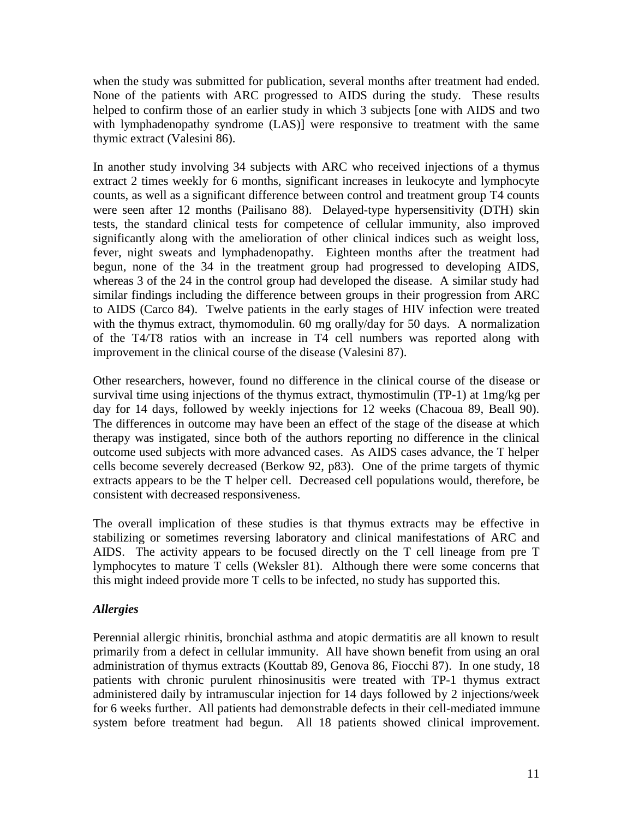when the study was submitted for publication, several months after treatment had ended. None of the patients with ARC progressed to AIDS during the study. These results helped to confirm those of an earlier study in which 3 subjects [one with AIDS and two with lymphadenopathy syndrome (LAS)] were responsive to treatment with the same thymic extract (Valesini 86).

In another study involving 34 subjects with ARC who received injections of a thymus extract 2 times weekly for 6 months, significant increases in leukocyte and lymphocyte counts, as well as a significant difference between control and treatment group T4 counts were seen after 12 months (Pailisano 88). Delayed-type hypersensitivity (DTH) skin tests, the standard clinical tests for competence of cellular immunity, also improved significantly along with the amelioration of other clinical indices such as weight loss, fever, night sweats and lymphadenopathy. Eighteen months after the treatment had begun, none of the 34 in the treatment group had progressed to developing AIDS, whereas 3 of the 24 in the control group had developed the disease. A similar study had similar findings including the difference between groups in their progression from ARC to AIDS (Carco 84). Twelve patients in the early stages of HIV infection were treated with the thymus extract, thymomodulin. 60 mg orally/day for 50 days. A normalization of the T4/T8 ratios with an increase in T4 cell numbers was reported along with improvement in the clinical course of the disease (Valesini 87).

Other researchers, however, found no difference in the clinical course of the disease or survival time using injections of the thymus extract, thymostimulin (TP-1) at 1mg/kg per day for 14 days, followed by weekly injections for 12 weeks (Chacoua 89, Beall 90). The differences in outcome may have been an effect of the stage of the disease at which therapy was instigated, since both of the authors reporting no difference in the clinical outcome used subjects with more advanced cases. As AIDS cases advance, the T helper cells become severely decreased (Berkow 92, p83). One of the prime targets of thymic extracts appears to be the T helper cell. Decreased cell populations would, therefore, be consistent with decreased responsiveness.

The overall implication of these studies is that thymus extracts may be effective in stabilizing or sometimes reversing laboratory and clinical manifestations of ARC and AIDS. The activity appears to be focused directly on the T cell lineage from pre T lymphocytes to mature T cells (Weksler 81). Although there were some concerns that this might indeed provide more T cells to be infected, no study has supported this.

## *Allergies*

Perennial allergic rhinitis, bronchial asthma and atopic dermatitis are all known to result primarily from a defect in cellular immunity. All have shown benefit from using an oral administration of thymus extracts (Kouttab 89, Genova 86, Fiocchi 87). In one study, 18 patients with chronic purulent rhinosinusitis were treated with TP-1 thymus extract administered daily by intramuscular injection for 14 days followed by 2 injections/week for 6 weeks further. All patients had demonstrable defects in their cell-mediated immune system before treatment had begun. All 18 patients showed clinical improvement.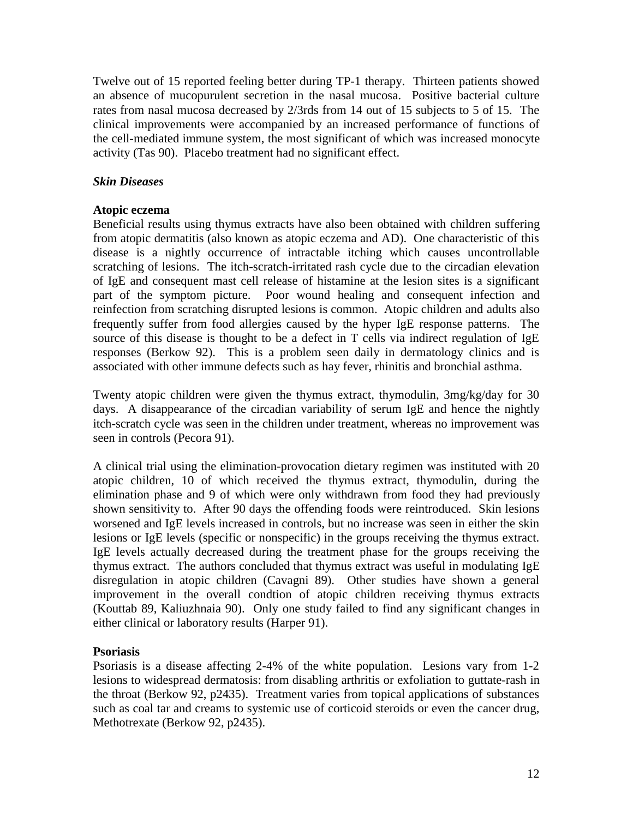Twelve out of 15 reported feeling better during TP-1 therapy. Thirteen patients showed an absence of mucopurulent secretion in the nasal mucosa. Positive bacterial culture rates from nasal mucosa decreased by 2/3rds from 14 out of 15 subjects to 5 of 15. The clinical improvements were accompanied by an increased performance of functions of the cell-mediated immune system, the most significant of which was increased monocyte activity (Tas 90). Placebo treatment had no significant effect.

## *Skin Diseases*

## **Atopic eczema**

Beneficial results using thymus extracts have also been obtained with children suffering from atopic dermatitis (also known as atopic eczema and AD). One characteristic of this disease is a nightly occurrence of intractable itching which causes uncontrollable scratching of lesions. The itch-scratch-irritated rash cycle due to the circadian elevation of IgE and consequent mast cell release of histamine at the lesion sites is a significant part of the symptom picture. Poor wound healing and consequent infection and reinfection from scratching disrupted lesions is common. Atopic children and adults also frequently suffer from food allergies caused by the hyper IgE response patterns. The source of this disease is thought to be a defect in T cells via indirect regulation of IgE responses (Berkow 92). This is a problem seen daily in dermatology clinics and is associated with other immune defects such as hay fever, rhinitis and bronchial asthma.

Twenty atopic children were given the thymus extract, thymodulin, 3mg/kg/day for 30 days. A disappearance of the circadian variability of serum IgE and hence the nightly itch-scratch cycle was seen in the children under treatment, whereas no improvement was seen in controls (Pecora 91).

A clinical trial using the elimination-provocation dietary regimen was instituted with 20 atopic children, 10 of which received the thymus extract, thymodulin, during the elimination phase and 9 of which were only withdrawn from food they had previously shown sensitivity to. After 90 days the offending foods were reintroduced. Skin lesions worsened and IgE levels increased in controls, but no increase was seen in either the skin lesions or IgE levels (specific or nonspecific) in the groups receiving the thymus extract. IgE levels actually decreased during the treatment phase for the groups receiving the thymus extract. The authors concluded that thymus extract was useful in modulating IgE disregulation in atopic children (Cavagni 89). Other studies have shown a general improvement in the overall condtion of atopic children receiving thymus extracts (Kouttab 89, Kaliuzhnaia 90). Only one study failed to find any significant changes in either clinical or laboratory results (Harper 91).

## **Psoriasis**

Psoriasis is a disease affecting 2-4% of the white population. Lesions vary from 1-2 lesions to widespread dermatosis: from disabling arthritis or exfoliation to guttate-rash in the throat (Berkow 92, p2435). Treatment varies from topical applications of substances such as coal tar and creams to systemic use of corticoid steroids or even the cancer drug, Methotrexate (Berkow 92, p2435).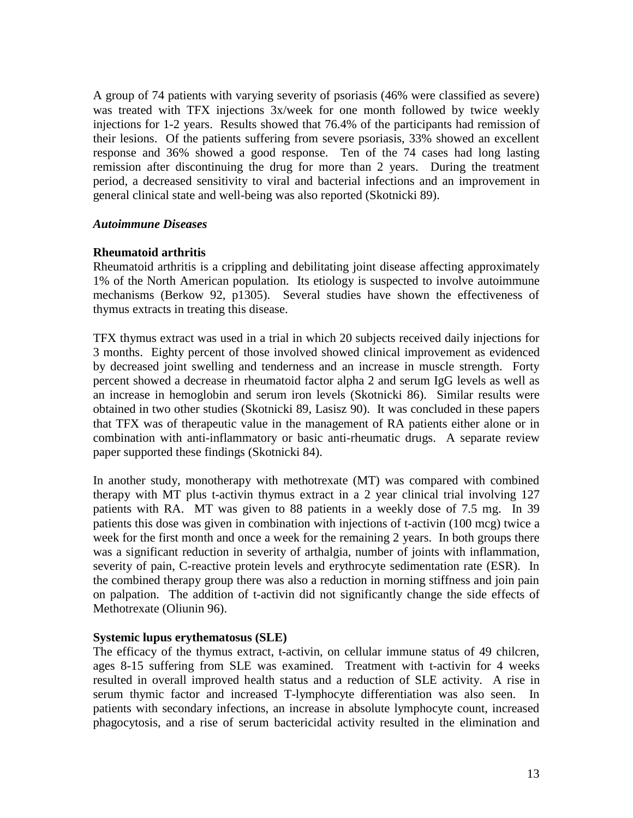A group of 74 patients with varying severity of psoriasis (46% were classified as severe) was treated with TFX injections 3x/week for one month followed by twice weekly injections for 1-2 years. Results showed that 76.4% of the participants had remission of their lesions. Of the patients suffering from severe psoriasis, 33% showed an excellent response and 36% showed a good response. Ten of the 74 cases had long lasting remission after discontinuing the drug for more than 2 years. During the treatment period, a decreased sensitivity to viral and bacterial infections and an improvement in general clinical state and well-being was also reported (Skotnicki 89).

## *Autoimmune Diseases*

## **Rheumatoid arthritis**

Rheumatoid arthritis is a crippling and debilitating joint disease affecting approximately 1% of the North American population. Its etiology is suspected to involve autoimmune mechanisms (Berkow 92, p1305). Several studies have shown the effectiveness of thymus extracts in treating this disease.

TFX thymus extract was used in a trial in which 20 subjects received daily injections for 3 months. Eighty percent of those involved showed clinical improvement as evidenced by decreased joint swelling and tenderness and an increase in muscle strength. Forty percent showed a decrease in rheumatoid factor alpha 2 and serum IgG levels as well as an increase in hemoglobin and serum iron levels (Skotnicki 86). Similar results were obtained in two other studies (Skotnicki 89, Lasisz 90). It was concluded in these papers that TFX was of therapeutic value in the management of RA patients either alone or in combination with anti-inflammatory or basic anti-rheumatic drugs. A separate review paper supported these findings (Skotnicki 84).

In another study, monotherapy with methotrexate (MT) was compared with combined therapy with MT plus t-activin thymus extract in a 2 year clinical trial involving 127 patients with RA. MT was given to 88 patients in a weekly dose of 7.5 mg. In 39 patients this dose was given in combination with injections of t-activin (100 mcg) twice a week for the first month and once a week for the remaining 2 years. In both groups there was a significant reduction in severity of arthalgia, number of joints with inflammation, severity of pain, C-reactive protein levels and erythrocyte sedimentation rate (ESR). In the combined therapy group there was also a reduction in morning stiffness and join pain on palpation. The addition of t-activin did not significantly change the side effects of Methotrexate (Oliunin 96).

#### **Systemic lupus erythematosus (SLE)**

The efficacy of the thymus extract, t-activin, on cellular immune status of 49 chilcren, ages 8-15 suffering from SLE was examined. Treatment with t-activin for 4 weeks resulted in overall improved health status and a reduction of SLE activity. A rise in serum thymic factor and increased T-lymphocyte differentiation was also seen. In patients with secondary infections, an increase in absolute lymphocyte count, increased phagocytosis, and a rise of serum bactericidal activity resulted in the elimination and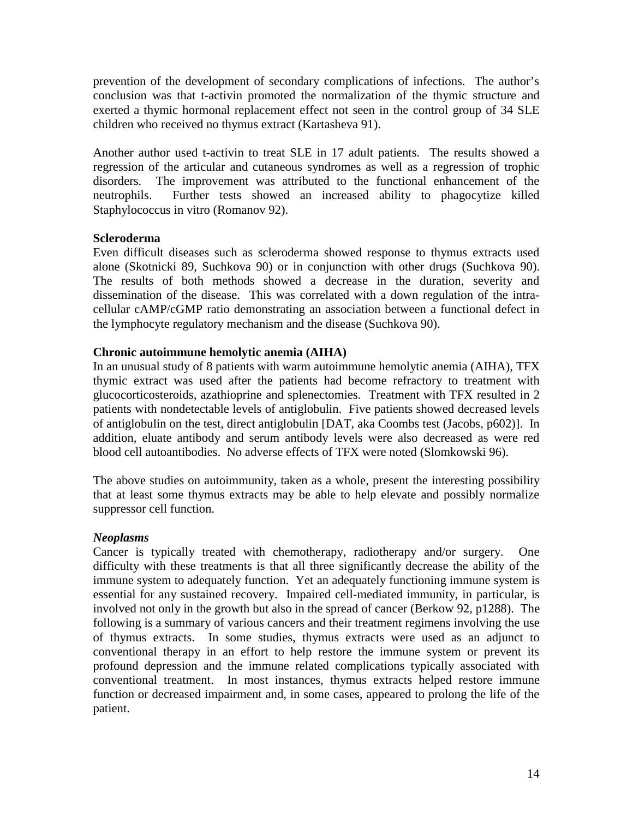prevention of the development of secondary complications of infections. The author's conclusion was that t-activin promoted the normalization of the thymic structure and exerted a thymic hormonal replacement effect not seen in the control group of 34 SLE children who received no thymus extract (Kartasheva 91).

Another author used t-activin to treat SLE in 17 adult patients. The results showed a regression of the articular and cutaneous syndromes as well as a regression of trophic disorders. The improvement was attributed to the functional enhancement of the neutrophils. Further tests showed an increased ability to phagocytize killed Staphylococcus in vitro (Romanov 92).

## **Scleroderma**

Even difficult diseases such as scleroderma showed response to thymus extracts used alone (Skotnicki 89, Suchkova 90) or in conjunction with other drugs (Suchkova 90). The results of both methods showed a decrease in the duration, severity and dissemination of the disease. This was correlated with a down regulation of the intracellular cAMP/cGMP ratio demonstrating an association between a functional defect in the lymphocyte regulatory mechanism and the disease (Suchkova 90).

## **Chronic autoimmune hemolytic anemia (AIHA)**

In an unusual study of 8 patients with warm autoimmune hemolytic anemia (AIHA), TFX thymic extract was used after the patients had become refractory to treatment with glucocorticosteroids, azathioprine and splenectomies. Treatment with TFX resulted in 2 patients with nondetectable levels of antiglobulin. Five patients showed decreased levels of antiglobulin on the test, direct antiglobulin [DAT, aka Coombs test (Jacobs, p602)]. In addition, eluate antibody and serum antibody levels were also decreased as were red blood cell autoantibodies. No adverse effects of TFX were noted (Slomkowski 96).

The above studies on autoimmunity, taken as a whole, present the interesting possibility that at least some thymus extracts may be able to help elevate and possibly normalize suppressor cell function.

## *Neoplasms*

Cancer is typically treated with chemotherapy, radiotherapy and/or surgery. One difficulty with these treatments is that all three significantly decrease the ability of the immune system to adequately function. Yet an adequately functioning immune system is essential for any sustained recovery. Impaired cell-mediated immunity, in particular, is involved not only in the growth but also in the spread of cancer (Berkow 92, p1288). The following is a summary of various cancers and their treatment regimens involving the use of thymus extracts. In some studies, thymus extracts were used as an adjunct to conventional therapy in an effort to help restore the immune system or prevent its profound depression and the immune related complications typically associated with conventional treatment. In most instances, thymus extracts helped restore immune function or decreased impairment and, in some cases, appeared to prolong the life of the patient.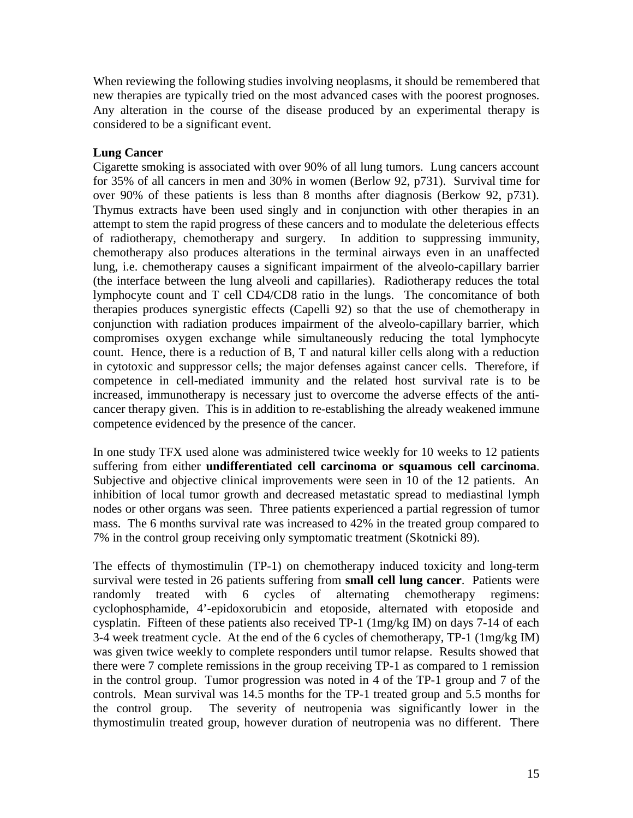When reviewing the following studies involving neoplasms, it should be remembered that new therapies are typically tried on the most advanced cases with the poorest prognoses. Any alteration in the course of the disease produced by an experimental therapy is considered to be a significant event.

## **Lung Cancer**

Cigarette smoking is associated with over 90% of all lung tumors. Lung cancers account for 35% of all cancers in men and 30% in women (Berlow 92, p731). Survival time for over 90% of these patients is less than 8 months after diagnosis (Berkow 92, p731). Thymus extracts have been used singly and in conjunction with other therapies in an attempt to stem the rapid progress of these cancers and to modulate the deleterious effects of radiotherapy, chemotherapy and surgery. In addition to suppressing immunity, chemotherapy also produces alterations in the terminal airways even in an unaffected lung, i.e. chemotherapy causes a significant impairment of the alveolo-capillary barrier (the interface between the lung alveoli and capillaries). Radiotherapy reduces the total lymphocyte count and T cell CD4/CD8 ratio in the lungs. The concomitance of both therapies produces synergistic effects (Capelli 92) so that the use of chemotherapy in conjunction with radiation produces impairment of the alveolo-capillary barrier, which compromises oxygen exchange while simultaneously reducing the total lymphocyte count. Hence, there is a reduction of B, T and natural killer cells along with a reduction in cytotoxic and suppressor cells; the major defenses against cancer cells. Therefore, if competence in cell-mediated immunity and the related host survival rate is to be increased, immunotherapy is necessary just to overcome the adverse effects of the anticancer therapy given. This is in addition to re-establishing the already weakened immune competence evidenced by the presence of the cancer.

In one study TFX used alone was administered twice weekly for 10 weeks to 12 patients suffering from either **undifferentiated cell carcinoma or squamous cell carcinoma**. Subjective and objective clinical improvements were seen in 10 of the 12 patients. An inhibition of local tumor growth and decreased metastatic spread to mediastinal lymph nodes or other organs was seen. Three patients experienced a partial regression of tumor mass. The 6 months survival rate was increased to 42% in the treated group compared to 7% in the control group receiving only symptomatic treatment (Skotnicki 89).

The effects of thymostimulin (TP-1) on chemotherapy induced toxicity and long-term survival were tested in 26 patients suffering from **small cell lung cancer**. Patients were randomly treated with 6 cycles of alternating chemotherapy regimens: cyclophosphamide, 4'-epidoxorubicin and etoposide, alternated with etoposide and cysplatin. Fifteen of these patients also received TP-1 (1mg/kg IM) on days 7-14 of each 3-4 week treatment cycle. At the end of the 6 cycles of chemotherapy, TP-1 (1mg/kg IM) was given twice weekly to complete responders until tumor relapse. Results showed that there were 7 complete remissions in the group receiving TP-1 as compared to 1 remission in the control group. Tumor progression was noted in 4 of the TP-1 group and 7 of the controls. Mean survival was 14.5 months for the TP-1 treated group and 5.5 months for the control group. The severity of neutropenia was significantly lower in the thymostimulin treated group, however duration of neutropenia was no different. There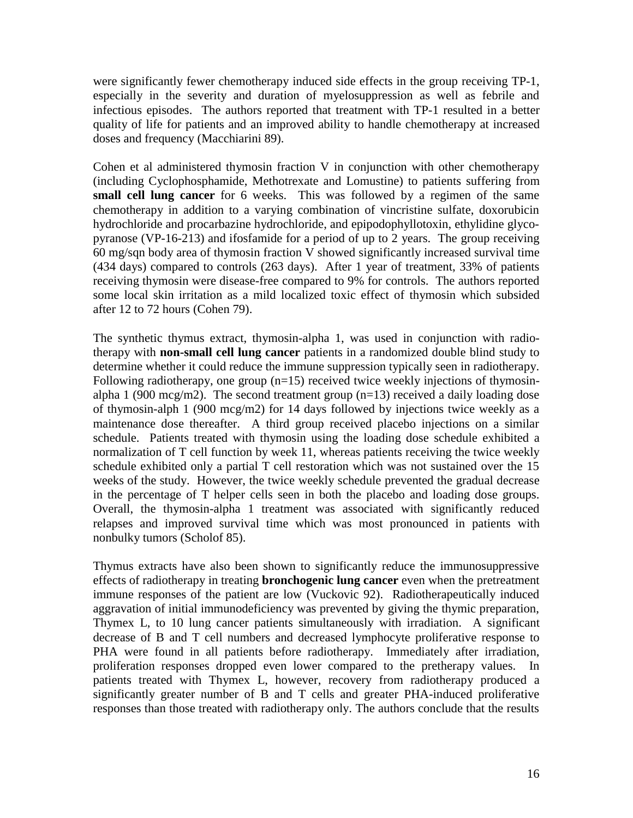were significantly fewer chemotherapy induced side effects in the group receiving TP-1, especially in the severity and duration of myelosuppression as well as febrile and infectious episodes. The authors reported that treatment with TP-1 resulted in a better quality of life for patients and an improved ability to handle chemotherapy at increased doses and frequency (Macchiarini 89).

Cohen et al administered thymosin fraction V in conjunction with other chemotherapy (including Cyclophosphamide, Methotrexate and Lomustine) to patients suffering from **small cell lung cancer** for 6 weeks. This was followed by a regimen of the same chemotherapy in addition to a varying combination of vincristine sulfate, doxorubicin hydrochloride and procarbazine hydrochloride, and epipodophyllotoxin, ethylidine glycopyranose (VP-16-213) and ifosfamide for a period of up to 2 years. The group receiving 60 mg/sqn body area of thymosin fraction V showed significantly increased survival time (434 days) compared to controls (263 days). After 1 year of treatment, 33% of patients receiving thymosin were disease-free compared to 9% for controls. The authors reported some local skin irritation as a mild localized toxic effect of thymosin which subsided after 12 to 72 hours (Cohen 79).

The synthetic thymus extract, thymosin-alpha 1, was used in conjunction with radiotherapy with **non-small cell lung cancer** patients in a randomized double blind study to determine whether it could reduce the immune suppression typically seen in radiotherapy. Following radiotherapy, one group  $(n=15)$  received twice weekly injections of thymosinalpha 1 (900 mcg/m2). The second treatment group  $(n=13)$  received a daily loading dose of thymosin-alph 1 (900 mcg/m2) for 14 days followed by injections twice weekly as a maintenance dose thereafter. A third group received placebo injections on a similar schedule. Patients treated with thymosin using the loading dose schedule exhibited a normalization of T cell function by week 11, whereas patients receiving the twice weekly schedule exhibited only a partial T cell restoration which was not sustained over the 15 weeks of the study. However, the twice weekly schedule prevented the gradual decrease in the percentage of T helper cells seen in both the placebo and loading dose groups. Overall, the thymosin-alpha 1 treatment was associated with significantly reduced relapses and improved survival time which was most pronounced in patients with nonbulky tumors (Scholof 85).

Thymus extracts have also been shown to significantly reduce the immunosuppressive effects of radiotherapy in treating **bronchogenic lung cancer** even when the pretreatment immune responses of the patient are low (Vuckovic 92). Radiotherapeutically induced aggravation of initial immunodeficiency was prevented by giving the thymic preparation, Thymex L, to 10 lung cancer patients simultaneously with irradiation. A significant decrease of B and T cell numbers and decreased lymphocyte proliferative response to PHA were found in all patients before radiotherapy. Immediately after irradiation, proliferation responses dropped even lower compared to the pretherapy values. In patients treated with Thymex L, however, recovery from radiotherapy produced a significantly greater number of B and T cells and greater PHA-induced proliferative responses than those treated with radiotherapy only. The authors conclude that the results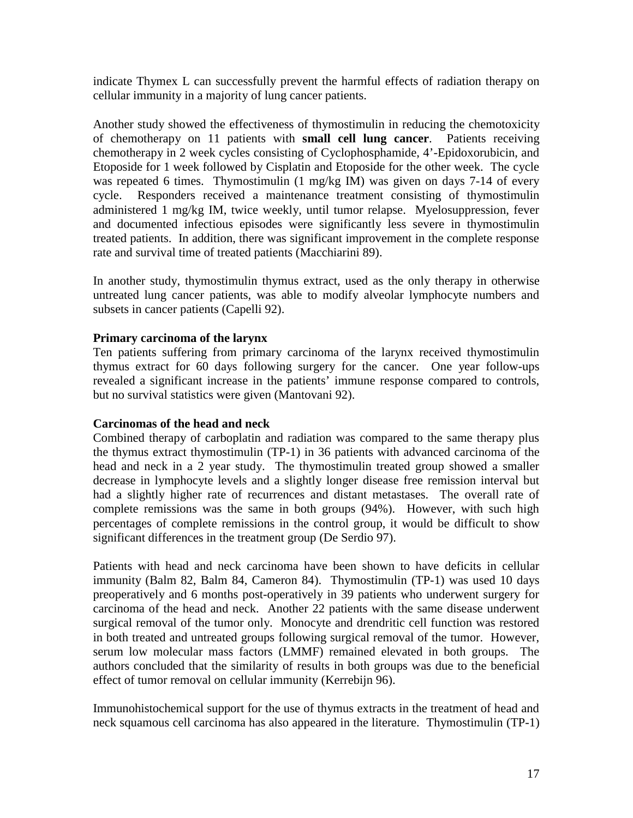indicate Thymex L can successfully prevent the harmful effects of radiation therapy on cellular immunity in a majority of lung cancer patients.

Another study showed the effectiveness of thymostimulin in reducing the chemotoxicity of chemotherapy on 11 patients with **small cell lung cancer**. Patients receiving chemotherapy in 2 week cycles consisting of Cyclophosphamide, 4'-Epidoxorubicin, and Etoposide for 1 week followed by Cisplatin and Etoposide for the other week. The cycle was repeated 6 times. Thymostimulin (1 mg/kg IM) was given on days 7-14 of every cycle. Responders received a maintenance treatment consisting of thymostimulin administered 1 mg/kg IM, twice weekly, until tumor relapse. Myelosuppression, fever and documented infectious episodes were significantly less severe in thymostimulin treated patients. In addition, there was significant improvement in the complete response rate and survival time of treated patients (Macchiarini 89).

In another study, thymostimulin thymus extract, used as the only therapy in otherwise untreated lung cancer patients, was able to modify alveolar lymphocyte numbers and subsets in cancer patients (Capelli 92).

## **Primary carcinoma of the larynx**

Ten patients suffering from primary carcinoma of the larynx received thymostimulin thymus extract for 60 days following surgery for the cancer. One year follow-ups revealed a significant increase in the patients' immune response compared to controls, but no survival statistics were given (Mantovani 92).

## **Carcinomas of the head and neck**

Combined therapy of carboplatin and radiation was compared to the same therapy plus the thymus extract thymostimulin (TP-1) in 36 patients with advanced carcinoma of the head and neck in a 2 year study. The thymostimulin treated group showed a smaller decrease in lymphocyte levels and a slightly longer disease free remission interval but had a slightly higher rate of recurrences and distant metastases. The overall rate of complete remissions was the same in both groups (94%). However, with such high percentages of complete remissions in the control group, it would be difficult to show significant differences in the treatment group (De Serdio 97).

Patients with head and neck carcinoma have been shown to have deficits in cellular immunity (Balm 82, Balm 84, Cameron 84). Thymostimulin (TP-1) was used 10 days preoperatively and 6 months post-operatively in 39 patients who underwent surgery for carcinoma of the head and neck. Another 22 patients with the same disease underwent surgical removal of the tumor only. Monocyte and drendritic cell function was restored in both treated and untreated groups following surgical removal of the tumor. However, serum low molecular mass factors (LMMF) remained elevated in both groups. The authors concluded that the similarity of results in both groups was due to the beneficial effect of tumor removal on cellular immunity (Kerrebijn 96).

Immunohistochemical support for the use of thymus extracts in the treatment of head and neck squamous cell carcinoma has also appeared in the literature. Thymostimulin (TP-1)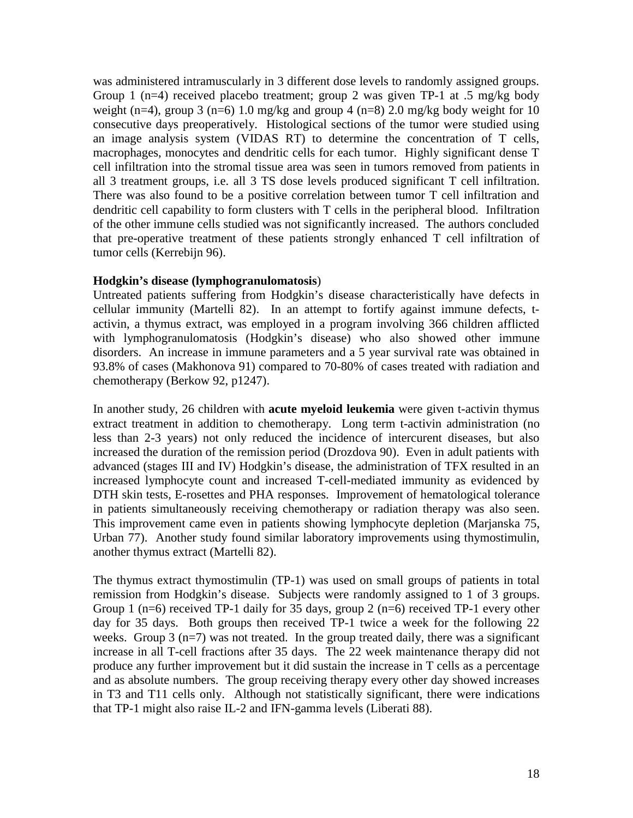was administered intramuscularly in 3 different dose levels to randomly assigned groups. Group 1 (n=4) received placebo treatment; group 2 was given TP-1 at .5 mg/kg body weight (n=4), group 3 (n=6) 1.0 mg/kg and group 4 (n=8) 2.0 mg/kg body weight for 10 consecutive days preoperatively. Histological sections of the tumor were studied using an image analysis system (VIDAS RT) to determine the concentration of T cells, macrophages, monocytes and dendritic cells for each tumor. Highly significant dense T cell infiltration into the stromal tissue area was seen in tumors removed from patients in all 3 treatment groups, i.e. all 3 TS dose levels produced significant T cell infiltration. There was also found to be a positive correlation between tumor T cell infiltration and dendritic cell capability to form clusters with T cells in the peripheral blood. Infiltration of the other immune cells studied was not significantly increased. The authors concluded that pre-operative treatment of these patients strongly enhanced T cell infiltration of tumor cells (Kerrebijn 96).

## **Hodgkin's disease (lymphogranulomatosis**)

Untreated patients suffering from Hodgkin's disease characteristically have defects in cellular immunity (Martelli 82). In an attempt to fortify against immune defects, tactivin, a thymus extract, was employed in a program involving 366 children afflicted with lymphogranulomatosis (Hodgkin's disease) who also showed other immune disorders. An increase in immune parameters and a 5 year survival rate was obtained in 93.8% of cases (Makhonova 91) compared to 70-80% of cases treated with radiation and chemotherapy (Berkow 92, p1247).

In another study, 26 children with **acute myeloid leukemia** were given t-activin thymus extract treatment in addition to chemotherapy. Long term t-activin administration (no less than 2-3 years) not only reduced the incidence of intercurent diseases, but also increased the duration of the remission period (Drozdova 90). Even in adult patients with advanced (stages III and IV) Hodgkin's disease, the administration of TFX resulted in an increased lymphocyte count and increased T-cell-mediated immunity as evidenced by DTH skin tests, E-rosettes and PHA responses. Improvement of hematological tolerance in patients simultaneously receiving chemotherapy or radiation therapy was also seen. This improvement came even in patients showing lymphocyte depletion (Marjanska 75, Urban 77). Another study found similar laboratory improvements using thymostimulin, another thymus extract (Martelli 82).

The thymus extract thymostimulin (TP-1) was used on small groups of patients in total remission from Hodgkin's disease. Subjects were randomly assigned to 1 of 3 groups. Group 1 ( $n=6$ ) received TP-1 daily for 35 days, group 2 ( $n=6$ ) received TP-1 every other day for 35 days. Both groups then received TP-1 twice a week for the following 22 weeks. Group  $3$  (n=7) was not treated. In the group treated daily, there was a significant increase in all T-cell fractions after 35 days. The 22 week maintenance therapy did not produce any further improvement but it did sustain the increase in T cells as a percentage and as absolute numbers. The group receiving therapy every other day showed increases in T3 and T11 cells only. Although not statistically significant, there were indications that TP-1 might also raise IL-2 and IFN-gamma levels (Liberati 88).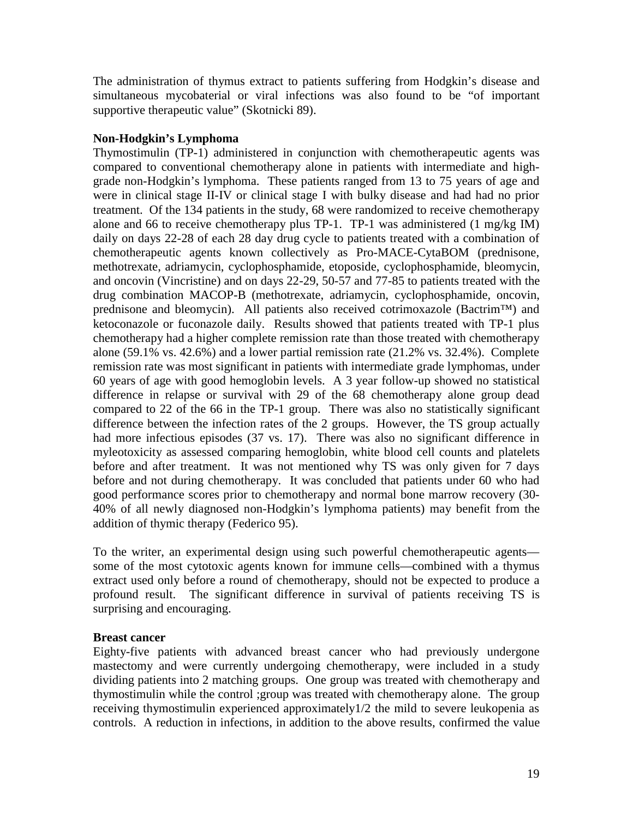The administration of thymus extract to patients suffering from Hodgkin's disease and simultaneous mycobaterial or viral infections was also found to be "of important supportive therapeutic value" (Skotnicki 89).

## **Non-Hodgkin's Lymphoma**

Thymostimulin (TP-1) administered in conjunction with chemotherapeutic agents was compared to conventional chemotherapy alone in patients with intermediate and highgrade non-Hodgkin's lymphoma. These patients ranged from 13 to 75 years of age and were in clinical stage II-IV or clinical stage I with bulky disease and had had no prior treatment. Of the 134 patients in the study, 68 were randomized to receive chemotherapy alone and 66 to receive chemotherapy plus TP-1. TP-1 was administered (1 mg/kg IM) daily on days 22-28 of each 28 day drug cycle to patients treated with a combination of chemotherapeutic agents known collectively as Pro-MACE-CytaBOM (prednisone, methotrexate, adriamycin, cyclophosphamide, etoposide, cyclophosphamide, bleomycin, and oncovin (Vincristine) and on days 22-29, 50-57 and 77-85 to patients treated with the drug combination MACOP-B (methotrexate, adriamycin, cyclophosphamide, oncovin, prednisone and bleomycin). All patients also received cotrimoxazole (Bactrim™) and ketoconazole or fuconazole daily. Results showed that patients treated with TP-1 plus chemotherapy had a higher complete remission rate than those treated with chemotherapy alone (59.1% vs. 42.6%) and a lower partial remission rate (21.2% vs. 32.4%). Complete remission rate was most significant in patients with intermediate grade lymphomas, under 60 years of age with good hemoglobin levels. A 3 year follow-up showed no statistical difference in relapse or survival with 29 of the 68 chemotherapy alone group dead compared to 22 of the 66 in the TP-1 group. There was also no statistically significant difference between the infection rates of the 2 groups. However, the TS group actually had more infectious episodes (37 vs. 17). There was also no significant difference in myleotoxicity as assessed comparing hemoglobin, white blood cell counts and platelets before and after treatment. It was not mentioned why TS was only given for 7 days before and not during chemotherapy. It was concluded that patients under 60 who had good performance scores prior to chemotherapy and normal bone marrow recovery (30- 40% of all newly diagnosed non-Hodgkin's lymphoma patients) may benefit from the addition of thymic therapy (Federico 95).

To the writer, an experimental design using such powerful chemotherapeutic agents some of the most cytotoxic agents known for immune cells—combined with a thymus extract used only before a round of chemotherapy, should not be expected to produce a profound result. The significant difference in survival of patients receiving TS is surprising and encouraging.

## **Breast cancer**

Eighty-five patients with advanced breast cancer who had previously undergone mastectomy and were currently undergoing chemotherapy, were included in a study dividing patients into 2 matching groups. One group was treated with chemotherapy and thymostimulin while the control ;group was treated with chemotherapy alone. The group receiving thymostimulin experienced approximately1/2 the mild to severe leukopenia as controls. A reduction in infections, in addition to the above results, confirmed the value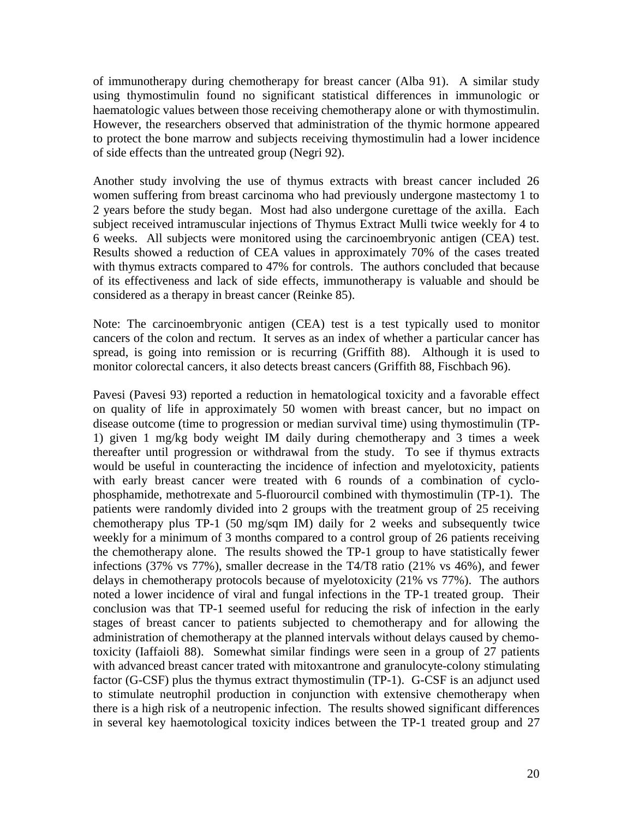of immunotherapy during chemotherapy for breast cancer (Alba 91). A similar study using thymostimulin found no significant statistical differences in immunologic or haematologic values between those receiving chemotherapy alone or with thymostimulin. However, the researchers observed that administration of the thymic hormone appeared to protect the bone marrow and subjects receiving thymostimulin had a lower incidence of side effects than the untreated group (Negri 92).

Another study involving the use of thymus extracts with breast cancer included 26 women suffering from breast carcinoma who had previously undergone mastectomy 1 to 2 years before the study began. Most had also undergone curettage of the axilla. Each subject received intramuscular injections of Thymus Extract Mulli twice weekly for 4 to 6 weeks. All subjects were monitored using the carcinoembryonic antigen (CEA) test. Results showed a reduction of CEA values in approximately 70% of the cases treated with thymus extracts compared to 47% for controls. The authors concluded that because of its effectiveness and lack of side effects, immunotherapy is valuable and should be considered as a therapy in breast cancer (Reinke 85).

Note: The carcinoembryonic antigen (CEA) test is a test typically used to monitor cancers of the colon and rectum. It serves as an index of whether a particular cancer has spread, is going into remission or is recurring (Griffith 88). Although it is used to monitor colorectal cancers, it also detects breast cancers (Griffith 88, Fischbach 96).

Pavesi (Pavesi 93) reported a reduction in hematological toxicity and a favorable effect on quality of life in approximately 50 women with breast cancer, but no impact on disease outcome (time to progression or median survival time) using thymostimulin (TP-1) given 1 mg/kg body weight IM daily during chemotherapy and 3 times a week thereafter until progression or withdrawal from the study. To see if thymus extracts would be useful in counteracting the incidence of infection and myelotoxicity, patients with early breast cancer were treated with 6 rounds of a combination of cyclophosphamide, methotrexate and 5-fluorourcil combined with thymostimulin (TP-1). The patients were randomly divided into 2 groups with the treatment group of 25 receiving chemotherapy plus TP-1 (50 mg/sqm IM) daily for 2 weeks and subsequently twice weekly for a minimum of 3 months compared to a control group of 26 patients receiving the chemotherapy alone. The results showed the TP-1 group to have statistically fewer infections (37% vs 77%), smaller decrease in the T4/T8 ratio (21% vs 46%), and fewer delays in chemotherapy protocols because of myelotoxicity (21% vs 77%). The authors noted a lower incidence of viral and fungal infections in the TP-1 treated group. Their conclusion was that TP-1 seemed useful for reducing the risk of infection in the early stages of breast cancer to patients subjected to chemotherapy and for allowing the administration of chemotherapy at the planned intervals without delays caused by chemotoxicity (Iaffaioli 88). Somewhat similar findings were seen in a group of 27 patients with advanced breast cancer trated with mitoxantrone and granulocyte-colony stimulating factor (G-CSF) plus the thymus extract thymostimulin (TP-1). G-CSF is an adjunct used to stimulate neutrophil production in conjunction with extensive chemotherapy when there is a high risk of a neutropenic infection. The results showed significant differences in several key haemotological toxicity indices between the TP-1 treated group and 27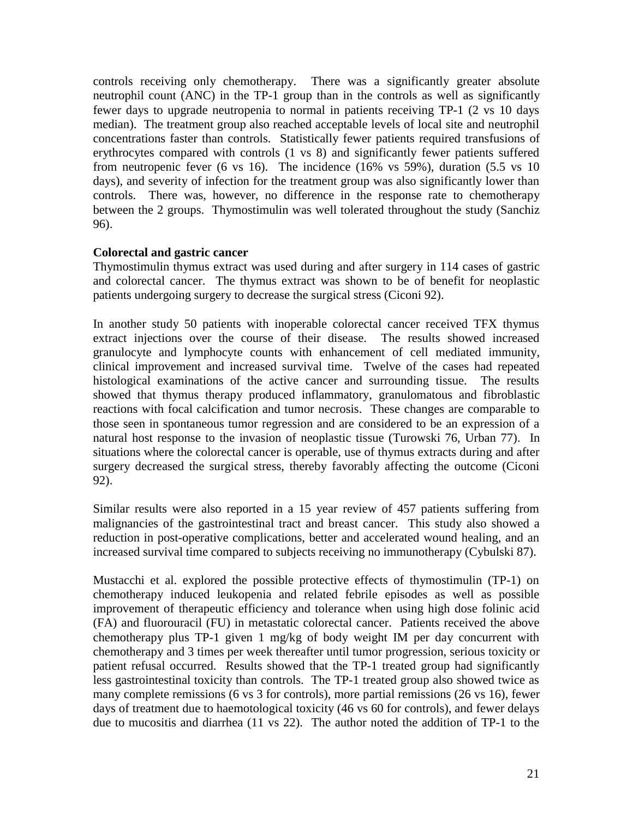controls receiving only chemotherapy. There was a significantly greater absolute neutrophil count (ANC) in the TP-1 group than in the controls as well as significantly fewer days to upgrade neutropenia to normal in patients receiving TP-1 (2 vs 10 days median). The treatment group also reached acceptable levels of local site and neutrophil concentrations faster than controls. Statistically fewer patients required transfusions of erythrocytes compared with controls (1 vs 8) and significantly fewer patients suffered from neutropenic fever (6 vs 16). The incidence (16% vs 59%), duration (5.5 vs 10 days), and severity of infection for the treatment group was also significantly lower than controls. There was, however, no difference in the response rate to chemotherapy between the 2 groups. Thymostimulin was well tolerated throughout the study (Sanchiz 96).

## **Colorectal and gastric cancer**

Thymostimulin thymus extract was used during and after surgery in 114 cases of gastric and colorectal cancer. The thymus extract was shown to be of benefit for neoplastic patients undergoing surgery to decrease the surgical stress (Ciconi 92).

In another study 50 patients with inoperable colorectal cancer received TFX thymus extract injections over the course of their disease. The results showed increased granulocyte and lymphocyte counts with enhancement of cell mediated immunity, clinical improvement and increased survival time. Twelve of the cases had repeated histological examinations of the active cancer and surrounding tissue. The results showed that thymus therapy produced inflammatory, granulomatous and fibroblastic reactions with focal calcification and tumor necrosis. These changes are comparable to those seen in spontaneous tumor regression and are considered to be an expression of a natural host response to the invasion of neoplastic tissue (Turowski 76, Urban 77). In situations where the colorectal cancer is operable, use of thymus extracts during and after surgery decreased the surgical stress, thereby favorably affecting the outcome (Ciconi 92).

Similar results were also reported in a 15 year review of 457 patients suffering from malignancies of the gastrointestinal tract and breast cancer. This study also showed a reduction in post-operative complications, better and accelerated wound healing, and an increased survival time compared to subjects receiving no immunotherapy (Cybulski 87).

Mustacchi et al. explored the possible protective effects of thymostimulin (TP-1) on chemotherapy induced leukopenia and related febrile episodes as well as possible improvement of therapeutic efficiency and tolerance when using high dose folinic acid (FA) and fluorouracil (FU) in metastatic colorectal cancer. Patients received the above chemotherapy plus TP-1 given 1 mg/kg of body weight IM per day concurrent with chemotherapy and 3 times per week thereafter until tumor progression, serious toxicity or patient refusal occurred. Results showed that the TP-1 treated group had significantly less gastrointestinal toxicity than controls. The TP-1 treated group also showed twice as many complete remissions (6 vs 3 for controls), more partial remissions (26 vs 16), fewer days of treatment due to haemotological toxicity (46 vs 60 for controls), and fewer delays due to mucositis and diarrhea (11 vs 22). The author noted the addition of TP-1 to the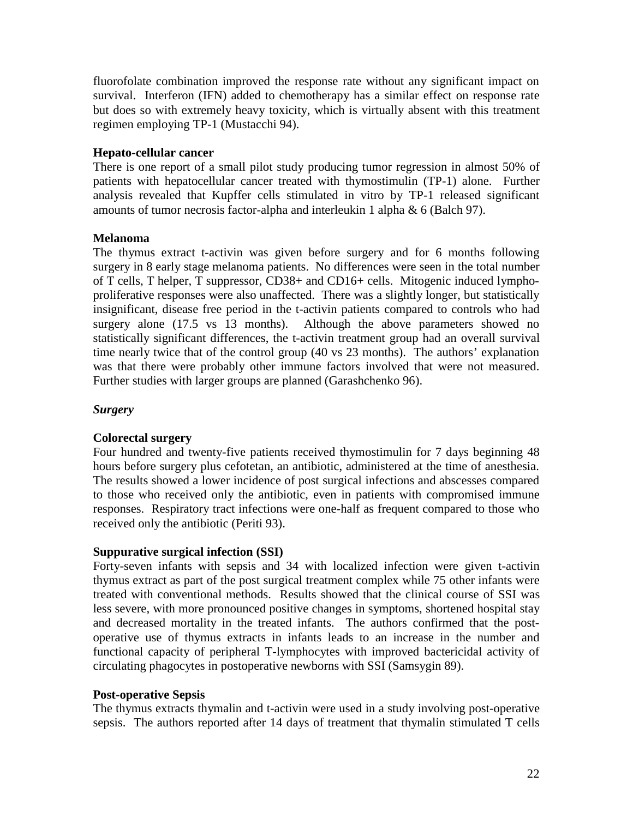fluorofolate combination improved the response rate without any significant impact on survival. Interferon (IFN) added to chemotherapy has a similar effect on response rate but does so with extremely heavy toxicity, which is virtually absent with this treatment regimen employing TP-1 (Mustacchi 94).

## **Hepato-cellular cancer**

There is one report of a small pilot study producing tumor regression in almost 50% of patients with hepatocellular cancer treated with thymostimulin (TP-1) alone. Further analysis revealed that Kupffer cells stimulated in vitro by TP-1 released significant amounts of tumor necrosis factor-alpha and interleukin 1 alpha & 6 (Balch 97).

## **Melanoma**

The thymus extract t-activin was given before surgery and for 6 months following surgery in 8 early stage melanoma patients. No differences were seen in the total number of T cells, T helper, T suppressor, CD38+ and CD16+ cells. Mitogenic induced lymphoproliferative responses were also unaffected. There was a slightly longer, but statistically insignificant, disease free period in the t-activin patients compared to controls who had surgery alone (17.5 vs 13 months). Although the above parameters showed no statistically significant differences, the t-activin treatment group had an overall survival time nearly twice that of the control group (40 vs 23 months). The authors' explanation was that there were probably other immune factors involved that were not measured. Further studies with larger groups are planned (Garashchenko 96).

## *Surgery*

## **Colorectal surgery**

Four hundred and twenty-five patients received thymostimulin for 7 days beginning 48 hours before surgery plus cefotetan, an antibiotic, administered at the time of anesthesia. The results showed a lower incidence of post surgical infections and abscesses compared to those who received only the antibiotic, even in patients with compromised immune responses. Respiratory tract infections were one-half as frequent compared to those who received only the antibiotic (Periti 93).

## **Suppurative surgical infection (SSI)**

Forty-seven infants with sepsis and 34 with localized infection were given t-activin thymus extract as part of the post surgical treatment complex while 75 other infants were treated with conventional methods. Results showed that the clinical course of SSI was less severe, with more pronounced positive changes in symptoms, shortened hospital stay and decreased mortality in the treated infants. The authors confirmed that the postoperative use of thymus extracts in infants leads to an increase in the number and functional capacity of peripheral T-lymphocytes with improved bactericidal activity of circulating phagocytes in postoperative newborns with SSI (Samsygin 89).

## **Post-operative Sepsis**

The thymus extracts thymalin and t-activin were used in a study involving post-operative sepsis. The authors reported after 14 days of treatment that thymalin stimulated T cells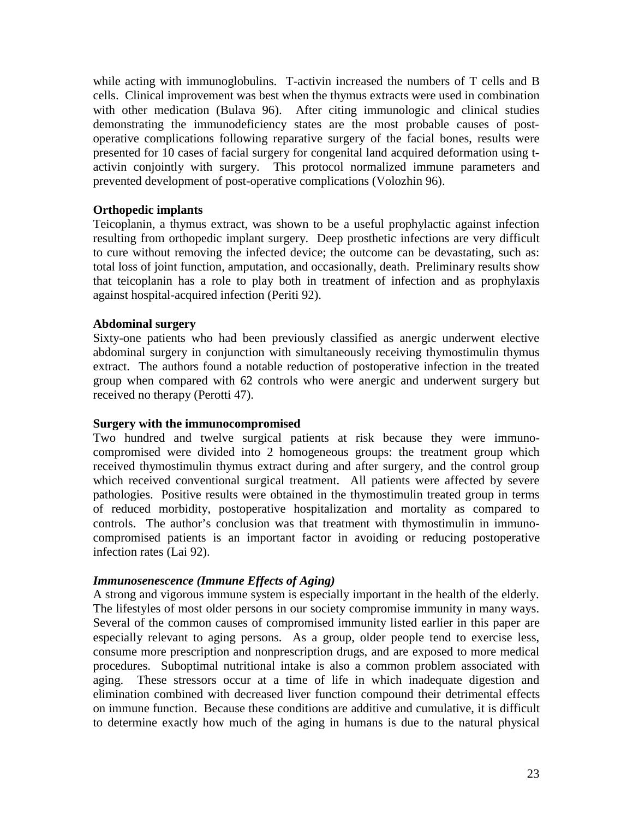while acting with immunoglobulins. T-activin increased the numbers of T cells and B cells. Clinical improvement was best when the thymus extracts were used in combination with other medication (Bulava 96). After citing immunologic and clinical studies demonstrating the immunodeficiency states are the most probable causes of postoperative complications following reparative surgery of the facial bones, results were presented for 10 cases of facial surgery for congenital land acquired deformation using tactivin conjointly with surgery. This protocol normalized immune parameters and prevented development of post-operative complications (Volozhin 96).

## **Orthopedic implants**

Teicoplanin, a thymus extract, was shown to be a useful prophylactic against infection resulting from orthopedic implant surgery. Deep prosthetic infections are very difficult to cure without removing the infected device; the outcome can be devastating, such as: total loss of joint function, amputation, and occasionally, death. Preliminary results show that teicoplanin has a role to play both in treatment of infection and as prophylaxis against hospital-acquired infection (Periti 92).

## **Abdominal surgery**

Sixty-one patients who had been previously classified as anergic underwent elective abdominal surgery in conjunction with simultaneously receiving thymostimulin thymus extract. The authors found a notable reduction of postoperative infection in the treated group when compared with 62 controls who were anergic and underwent surgery but received no therapy (Perotti 47).

## **Surgery with the immunocompromised**

Two hundred and twelve surgical patients at risk because they were immunocompromised were divided into 2 homogeneous groups: the treatment group which received thymostimulin thymus extract during and after surgery, and the control group which received conventional surgical treatment. All patients were affected by severe pathologies. Positive results were obtained in the thymostimulin treated group in terms of reduced morbidity, postoperative hospitalization and mortality as compared to controls. The author's conclusion was that treatment with thymostimulin in immunocompromised patients is an important factor in avoiding or reducing postoperative infection rates (Lai 92).

## *Immunosenescence (Immune Effects of Aging)*

A strong and vigorous immune system is especially important in the health of the elderly. The lifestyles of most older persons in our society compromise immunity in many ways. Several of the common causes of compromised immunity listed earlier in this paper are especially relevant to aging persons. As a group, older people tend to exercise less, consume more prescription and nonprescription drugs, and are exposed to more medical procedures. Suboptimal nutritional intake is also a common problem associated with aging. These stressors occur at a time of life in which inadequate digestion and elimination combined with decreased liver function compound their detrimental effects on immune function. Because these conditions are additive and cumulative, it is difficult to determine exactly how much of the aging in humans is due to the natural physical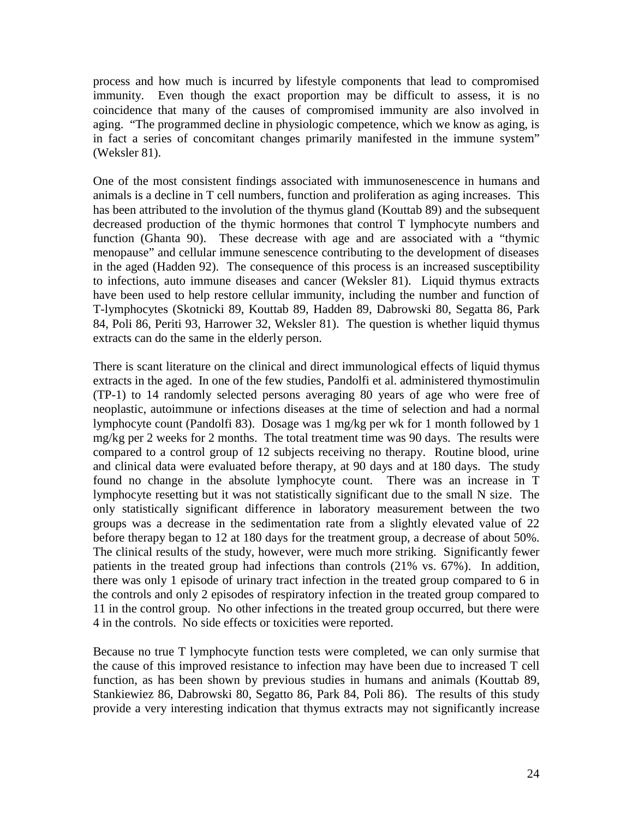process and how much is incurred by lifestyle components that lead to compromised immunity. Even though the exact proportion may be difficult to assess, it is no coincidence that many of the causes of compromised immunity are also involved in aging. "The programmed decline in physiologic competence, which we know as aging, is in fact a series of concomitant changes primarily manifested in the immune system" (Weksler 81).

One of the most consistent findings associated with immunosenescence in humans and animals is a decline in T cell numbers, function and proliferation as aging increases. This has been attributed to the involution of the thymus gland (Kouttab 89) and the subsequent decreased production of the thymic hormones that control T lymphocyte numbers and function (Ghanta 90). These decrease with age and are associated with a "thymic menopause" and cellular immune senescence contributing to the development of diseases in the aged (Hadden 92). The consequence of this process is an increased susceptibility to infections, auto immune diseases and cancer (Weksler 81). Liquid thymus extracts have been used to help restore cellular immunity, including the number and function of T-lymphocytes (Skotnicki 89, Kouttab 89, Hadden 89, Dabrowski 80, Segatta 86, Park 84, Poli 86, Periti 93, Harrower 32, Weksler 81). The question is whether liquid thymus extracts can do the same in the elderly person.

There is scant literature on the clinical and direct immunological effects of liquid thymus extracts in the aged. In one of the few studies, Pandolfi et al. administered thymostimulin (TP-1) to 14 randomly selected persons averaging 80 years of age who were free of neoplastic, autoimmune or infections diseases at the time of selection and had a normal lymphocyte count (Pandolfi 83). Dosage was 1 mg/kg per wk for 1 month followed by 1 mg/kg per 2 weeks for 2 months. The total treatment time was 90 days. The results were compared to a control group of 12 subjects receiving no therapy. Routine blood, urine and clinical data were evaluated before therapy, at 90 days and at 180 days. The study found no change in the absolute lymphocyte count. There was an increase in T lymphocyte resetting but it was not statistically significant due to the small N size. The only statistically significant difference in laboratory measurement between the two groups was a decrease in the sedimentation rate from a slightly elevated value of 22 before therapy began to 12 at 180 days for the treatment group, a decrease of about 50%. The clinical results of the study, however, were much more striking. Significantly fewer patients in the treated group had infections than controls (21% vs. 67%). In addition, there was only 1 episode of urinary tract infection in the treated group compared to 6 in the controls and only 2 episodes of respiratory infection in the treated group compared to 11 in the control group. No other infections in the treated group occurred, but there were 4 in the controls. No side effects or toxicities were reported.

Because no true T lymphocyte function tests were completed, we can only surmise that the cause of this improved resistance to infection may have been due to increased T cell function, as has been shown by previous studies in humans and animals (Kouttab 89, Stankiewiez 86, Dabrowski 80, Segatto 86, Park 84, Poli 86). The results of this study provide a very interesting indication that thymus extracts may not significantly increase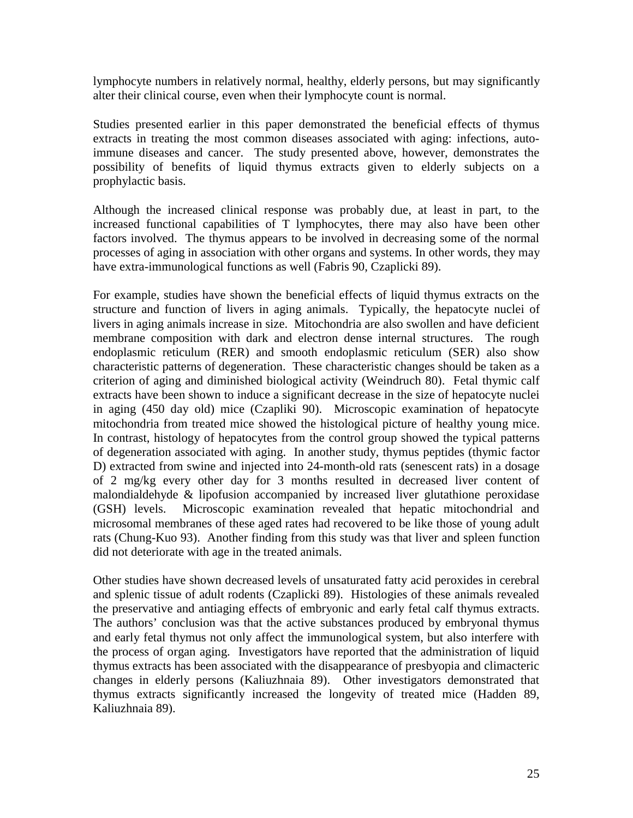lymphocyte numbers in relatively normal, healthy, elderly persons, but may significantly alter their clinical course, even when their lymphocyte count is normal.

Studies presented earlier in this paper demonstrated the beneficial effects of thymus extracts in treating the most common diseases associated with aging: infections, autoimmune diseases and cancer. The study presented above, however, demonstrates the possibility of benefits of liquid thymus extracts given to elderly subjects on a prophylactic basis.

Although the increased clinical response was probably due, at least in part, to the increased functional capabilities of T lymphocytes, there may also have been other factors involved. The thymus appears to be involved in decreasing some of the normal processes of aging in association with other organs and systems. In other words, they may have extra-immunological functions as well (Fabris 90, Czaplicki 89).

For example, studies have shown the beneficial effects of liquid thymus extracts on the structure and function of livers in aging animals. Typically, the hepatocyte nuclei of livers in aging animals increase in size. Mitochondria are also swollen and have deficient membrane composition with dark and electron dense internal structures. The rough endoplasmic reticulum (RER) and smooth endoplasmic reticulum (SER) also show characteristic patterns of degeneration. These characteristic changes should be taken as a criterion of aging and diminished biological activity (Weindruch 80). Fetal thymic calf extracts have been shown to induce a significant decrease in the size of hepatocyte nuclei in aging (450 day old) mice (Czapliki 90). Microscopic examination of hepatocyte mitochondria from treated mice showed the histological picture of healthy young mice. In contrast, histology of hepatocytes from the control group showed the typical patterns of degeneration associated with aging. In another study, thymus peptides (thymic factor D) extracted from swine and injected into 24-month-old rats (senescent rats) in a dosage of 2 mg/kg every other day for 3 months resulted in decreased liver content of malondialdehyde & lipofusion accompanied by increased liver glutathione peroxidase (GSH) levels. Microscopic examination revealed that hepatic mitochondrial and microsomal membranes of these aged rates had recovered to be like those of young adult rats (Chung-Kuo 93). Another finding from this study was that liver and spleen function did not deteriorate with age in the treated animals.

Other studies have shown decreased levels of unsaturated fatty acid peroxides in cerebral and splenic tissue of adult rodents (Czaplicki 89). Histologies of these animals revealed the preservative and antiaging effects of embryonic and early fetal calf thymus extracts. The authors' conclusion was that the active substances produced by embryonal thymus and early fetal thymus not only affect the immunological system, but also interfere with the process of organ aging. Investigators have reported that the administration of liquid thymus extracts has been associated with the disappearance of presbyopia and climacteric changes in elderly persons (Kaliuzhnaia 89). Other investigators demonstrated that thymus extracts significantly increased the longevity of treated mice (Hadden 89, Kaliuzhnaia 89).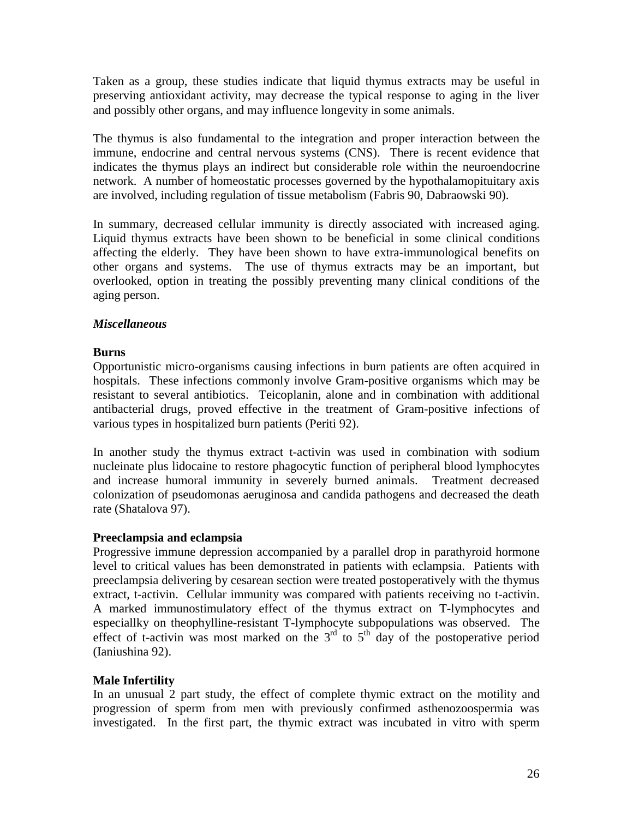Taken as a group, these studies indicate that liquid thymus extracts may be useful in preserving antioxidant activity, may decrease the typical response to aging in the liver and possibly other organs, and may influence longevity in some animals.

The thymus is also fundamental to the integration and proper interaction between the immune, endocrine and central nervous systems (CNS). There is recent evidence that indicates the thymus plays an indirect but considerable role within the neuroendocrine network. A number of homeostatic processes governed by the hypothalamopituitary axis are involved, including regulation of tissue metabolism (Fabris 90, Dabraowski 90).

In summary, decreased cellular immunity is directly associated with increased aging. Liquid thymus extracts have been shown to be beneficial in some clinical conditions affecting the elderly. They have been shown to have extra-immunological benefits on other organs and systems. The use of thymus extracts may be an important, but overlooked, option in treating the possibly preventing many clinical conditions of the aging person.

## *Miscellaneous*

## **Burns**

Opportunistic micro-organisms causing infections in burn patients are often acquired in hospitals. These infections commonly involve Gram-positive organisms which may be resistant to several antibiotics. Teicoplanin, alone and in combination with additional antibacterial drugs, proved effective in the treatment of Gram-positive infections of various types in hospitalized burn patients (Periti 92).

In another study the thymus extract t-activin was used in combination with sodium nucleinate plus lidocaine to restore phagocytic function of peripheral blood lymphocytes and increase humoral immunity in severely burned animals. Treatment decreased colonization of pseudomonas aeruginosa and candida pathogens and decreased the death rate (Shatalova 97).

## **Preeclampsia and eclampsia**

Progressive immune depression accompanied by a parallel drop in parathyroid hormone level to critical values has been demonstrated in patients with eclampsia. Patients with preeclampsia delivering by cesarean section were treated postoperatively with the thymus extract, t-activin. Cellular immunity was compared with patients receiving no t-activin. A marked immunostimulatory effect of the thymus extract on T-lymphocytes and especiallky on theophylline-resistant T-lymphocyte subpopulations was observed. The effect of t-activin was most marked on the  $3<sup>rd</sup>$  to  $5<sup>th</sup>$  day of the postoperative period (Ianiushina 92).

## **Male Infertility**

In an unusual 2 part study, the effect of complete thymic extract on the motility and progression of sperm from men with previously confirmed asthenozoospermia was investigated. In the first part, the thymic extract was incubated in vitro with sperm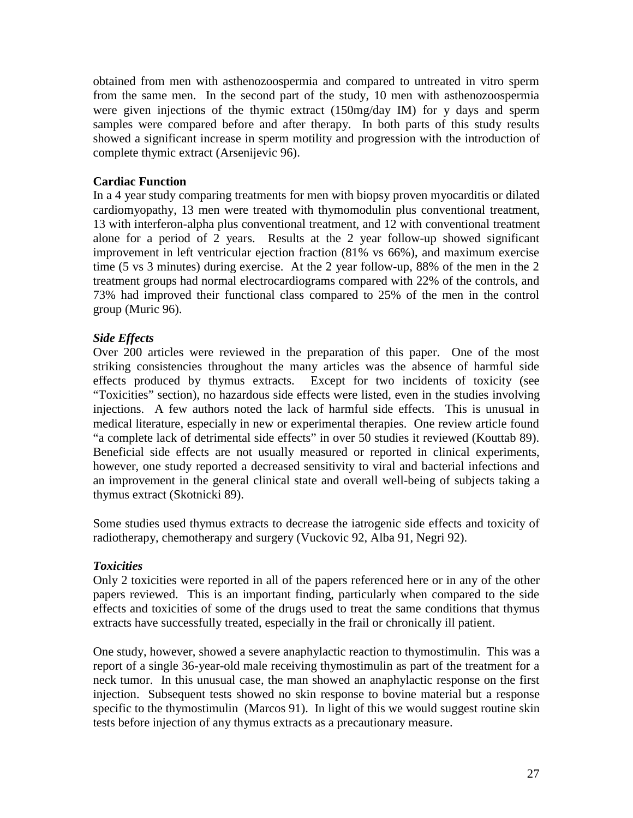obtained from men with asthenozoospermia and compared to untreated in vitro sperm from the same men. In the second part of the study, 10 men with asthenozoospermia were given injections of the thymic extract (150mg/day IM) for y days and sperm samples were compared before and after therapy. In both parts of this study results showed a significant increase in sperm motility and progression with the introduction of complete thymic extract (Arsenijevic 96).

## **Cardiac Function**

In a 4 year study comparing treatments for men with biopsy proven myocarditis or dilated cardiomyopathy, 13 men were treated with thymomodulin plus conventional treatment, 13 with interferon-alpha plus conventional treatment, and 12 with conventional treatment alone for a period of 2 years. Results at the 2 year follow-up showed significant improvement in left ventricular ejection fraction (81% vs 66%), and maximum exercise time (5 vs 3 minutes) during exercise. At the 2 year follow-up, 88% of the men in the 2 treatment groups had normal electrocardiograms compared with 22% of the controls, and 73% had improved their functional class compared to 25% of the men in the control group (Muric 96).

## *Side Effects*

Over 200 articles were reviewed in the preparation of this paper. One of the most striking consistencies throughout the many articles was the absence of harmful side effects produced by thymus extracts. Except for two incidents of toxicity (see "Toxicities" section), no hazardous side effects were listed, even in the studies involving injections. A few authors noted the lack of harmful side effects. This is unusual in medical literature, especially in new or experimental therapies. One review article found "a complete lack of detrimental side effects" in over 50 studies it reviewed (Kouttab 89). Beneficial side effects are not usually measured or reported in clinical experiments, however, one study reported a decreased sensitivity to viral and bacterial infections and an improvement in the general clinical state and overall well-being of subjects taking a thymus extract (Skotnicki 89).

Some studies used thymus extracts to decrease the iatrogenic side effects and toxicity of radiotherapy, chemotherapy and surgery (Vuckovic 92, Alba 91, Negri 92).

## *Toxicities*

Only 2 toxicities were reported in all of the papers referenced here or in any of the other papers reviewed. This is an important finding, particularly when compared to the side effects and toxicities of some of the drugs used to treat the same conditions that thymus extracts have successfully treated, especially in the frail or chronically ill patient.

One study, however, showed a severe anaphylactic reaction to thymostimulin. This was a report of a single 36-year-old male receiving thymostimulin as part of the treatment for a neck tumor. In this unusual case, the man showed an anaphylactic response on the first injection. Subsequent tests showed no skin response to bovine material but a response specific to the thymostimulin (Marcos 91). In light of this we would suggest routine skin tests before injection of any thymus extracts as a precautionary measure.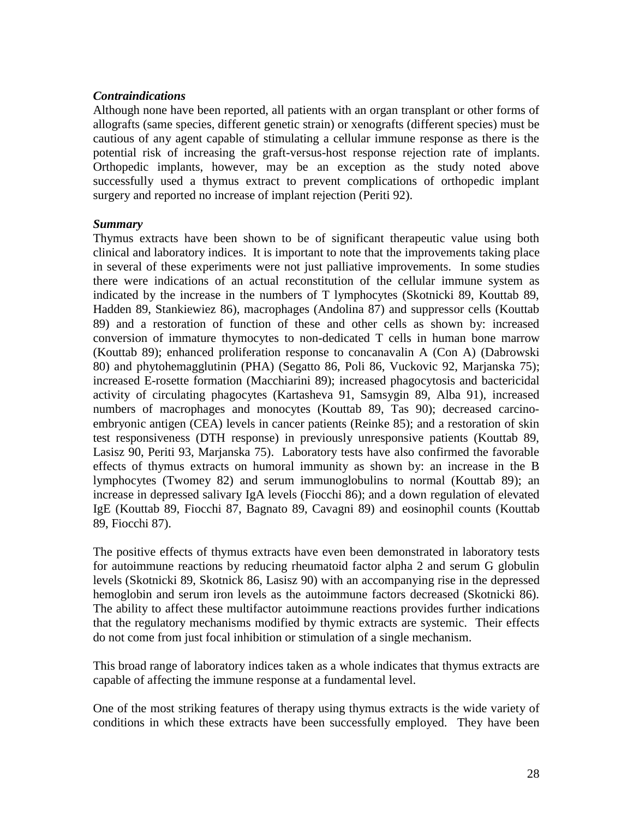## *Contraindications*

Although none have been reported, all patients with an organ transplant or other forms of allografts (same species, different genetic strain) or xenografts (different species) must be cautious of any agent capable of stimulating a cellular immune response as there is the potential risk of increasing the graft-versus-host response rejection rate of implants. Orthopedic implants, however, may be an exception as the study noted above successfully used a thymus extract to prevent complications of orthopedic implant surgery and reported no increase of implant rejection (Periti 92).

#### *Summary*

Thymus extracts have been shown to be of significant therapeutic value using both clinical and laboratory indices. It is important to note that the improvements taking place in several of these experiments were not just palliative improvements. In some studies there were indications of an actual reconstitution of the cellular immune system as indicated by the increase in the numbers of T lymphocytes (Skotnicki 89, Kouttab 89, Hadden 89, Stankiewiez 86), macrophages (Andolina 87) and suppressor cells (Kouttab 89) and a restoration of function of these and other cells as shown by: increased conversion of immature thymocytes to non-dedicated T cells in human bone marrow (Kouttab 89); enhanced proliferation response to concanavalin A (Con A) (Dabrowski 80) and phytohemagglutinin (PHA) (Segatto 86, Poli 86, Vuckovic 92, Marjanska 75); increased E-rosette formation (Macchiarini 89); increased phagocytosis and bactericidal activity of circulating phagocytes (Kartasheva 91, Samsygin 89, Alba 91), increased numbers of macrophages and monocytes (Kouttab 89, Tas 90); decreased carcinoembryonic antigen (CEA) levels in cancer patients (Reinke 85); and a restoration of skin test responsiveness (DTH response) in previously unresponsive patients (Kouttab 89, Lasisz 90, Periti 93, Marjanska 75). Laboratory tests have also confirmed the favorable effects of thymus extracts on humoral immunity as shown by: an increase in the B lymphocytes (Twomey 82) and serum immunoglobulins to normal (Kouttab 89); an increase in depressed salivary IgA levels (Fiocchi 86); and a down regulation of elevated IgE (Kouttab 89, Fiocchi 87, Bagnato 89, Cavagni 89) and eosinophil counts (Kouttab 89, Fiocchi 87).

The positive effects of thymus extracts have even been demonstrated in laboratory tests for autoimmune reactions by reducing rheumatoid factor alpha 2 and serum G globulin levels (Skotnicki 89, Skotnick 86, Lasisz 90) with an accompanying rise in the depressed hemoglobin and serum iron levels as the autoimmune factors decreased (Skotnicki 86). The ability to affect these multifactor autoimmune reactions provides further indications that the regulatory mechanisms modified by thymic extracts are systemic. Their effects do not come from just focal inhibition or stimulation of a single mechanism.

This broad range of laboratory indices taken as a whole indicates that thymus extracts are capable of affecting the immune response at a fundamental level.

One of the most striking features of therapy using thymus extracts is the wide variety of conditions in which these extracts have been successfully employed. They have been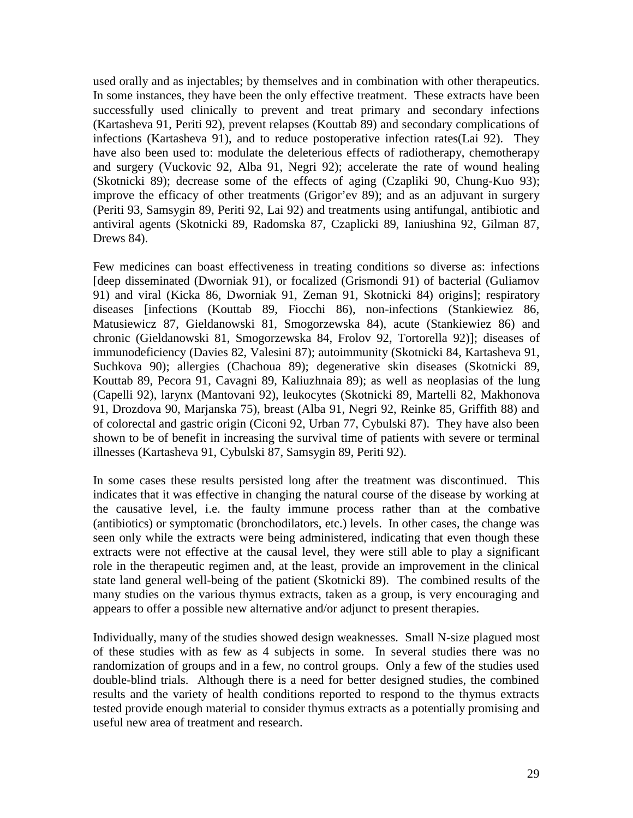used orally and as injectables; by themselves and in combination with other therapeutics. In some instances, they have been the only effective treatment. These extracts have been successfully used clinically to prevent and treat primary and secondary infections (Kartasheva 91, Periti 92), prevent relapses (Kouttab 89) and secondary complications of infections (Kartasheva 91), and to reduce postoperative infection rates(Lai 92). They have also been used to: modulate the deleterious effects of radiotherapy, chemotherapy and surgery (Vuckovic 92, Alba 91, Negri 92); accelerate the rate of wound healing (Skotnicki 89); decrease some of the effects of aging (Czapliki 90, Chung-Kuo 93); improve the efficacy of other treatments (Grigor'ev 89); and as an adjuvant in surgery (Periti 93, Samsygin 89, Periti 92, Lai 92) and treatments using antifungal, antibiotic and antiviral agents (Skotnicki 89, Radomska 87, Czaplicki 89, Ianiushina 92, Gilman 87, Drews 84).

Few medicines can boast effectiveness in treating conditions so diverse as: infections [deep disseminated (Dworniak 91), or focalized (Grismondi 91) of bacterial (Guliamov 91) and viral (Kicka 86, Dworniak 91, Zeman 91, Skotnicki 84) origins]; respiratory diseases [infections (Kouttab 89, Fiocchi 86), non-infections (Stankiewiez 86, Matusiewicz 87, Gieldanowski 81, Smogorzewska 84), acute (Stankiewiez 86) and chronic (Gieldanowski 81, Smogorzewska 84, Frolov 92, Tortorella 92)]; diseases of immunodeficiency (Davies 82, Valesini 87); autoimmunity (Skotnicki 84, Kartasheva 91, Suchkova 90); allergies (Chachoua 89); degenerative skin diseases (Skotnicki 89, Kouttab 89, Pecora 91, Cavagni 89, Kaliuzhnaia 89); as well as neoplasias of the lung (Capelli 92), larynx (Mantovani 92), leukocytes (Skotnicki 89, Martelli 82, Makhonova 91, Drozdova 90, Marjanska 75), breast (Alba 91, Negri 92, Reinke 85, Griffith 88) and of colorectal and gastric origin (Ciconi 92, Urban 77, Cybulski 87). They have also been shown to be of benefit in increasing the survival time of patients with severe or terminal illnesses (Kartasheva 91, Cybulski 87, Samsygin 89, Periti 92).

In some cases these results persisted long after the treatment was discontinued. This indicates that it was effective in changing the natural course of the disease by working at the causative level, i.e. the faulty immune process rather than at the combative (antibiotics) or symptomatic (bronchodilators, etc.) levels. In other cases, the change was seen only while the extracts were being administered, indicating that even though these extracts were not effective at the causal level, they were still able to play a significant role in the therapeutic regimen and, at the least, provide an improvement in the clinical state land general well-being of the patient (Skotnicki 89). The combined results of the many studies on the various thymus extracts, taken as a group, is very encouraging and appears to offer a possible new alternative and/or adjunct to present therapies.

Individually, many of the studies showed design weaknesses. Small N-size plagued most of these studies with as few as 4 subjects in some. In several studies there was no randomization of groups and in a few, no control groups. Only a few of the studies used double-blind trials. Although there is a need for better designed studies, the combined results and the variety of health conditions reported to respond to the thymus extracts tested provide enough material to consider thymus extracts as a potentially promising and useful new area of treatment and research.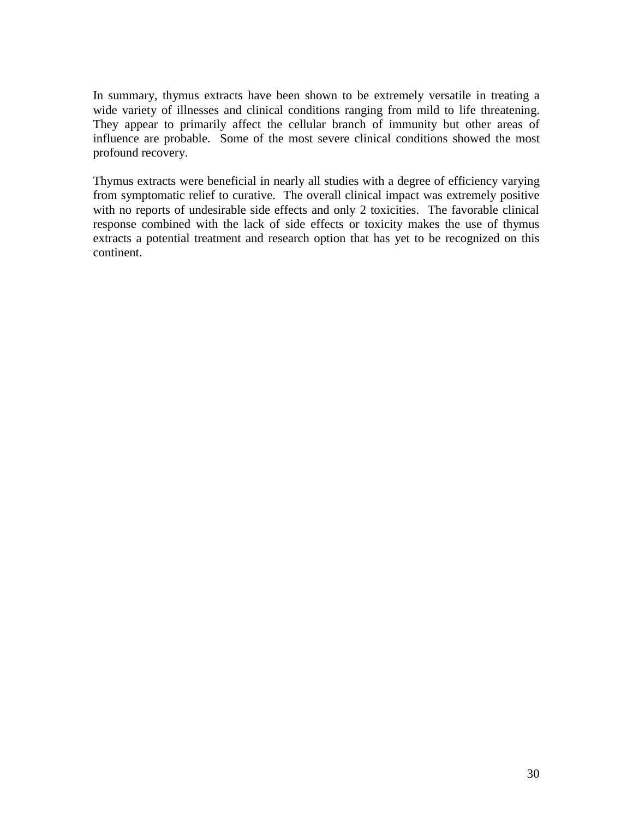In summary, thymus extracts have been shown to be extremely versatile in treating a wide variety of illnesses and clinical conditions ranging from mild to life threatening. They appear to primarily affect the cellular branch of immunity but other areas of influence are probable. Some of the most severe clinical conditions showed the most profound recovery.

Thymus extracts were beneficial in nearly all studies with a degree of efficiency varying from symptomatic relief to curative. The overall clinical impact was extremely positive with no reports of undesirable side effects and only 2 toxicities. The favorable clinical response combined with the lack of side effects or toxicity makes the use of thymus extracts a potential treatment and research option that has yet to be recognized on this continent.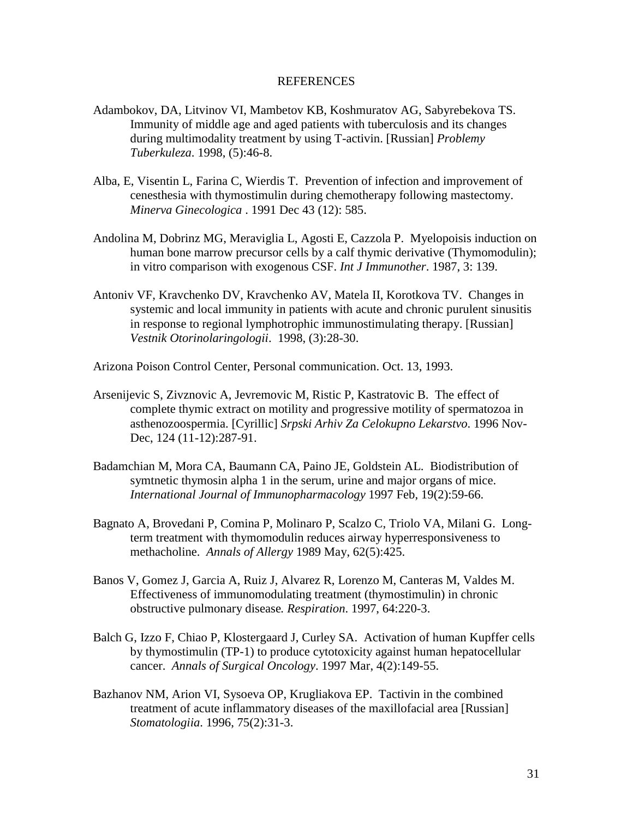#### REFERENCES

- Adambokov, DA, Litvinov VI, Mambetov KB, Koshmuratov AG, Sabyrebekova TS. Immunity of middle age and aged patients with tuberculosis and its changes during multimodality treatment by using T-activin. [Russian] *Problemy Tuberkuleza*. 1998, (5):46-8.
- Alba, E, Visentin L, Farina C, Wierdis T. Prevention of infection and improvement of cenesthesia with thymostimulin during chemotherapy following mastectomy. *Minerva Ginecologica* . 1991 Dec 43 (12): 585.
- Andolina M, Dobrinz MG, Meraviglia L, Agosti E, Cazzola P. Myelopoisis induction on human bone marrow precursor cells by a calf thymic derivative (Thymomodulin); in vitro comparison with exogenous CSF. *Int J Immunother*. 1987, 3: 139.
- Antoniv VF, Kravchenko DV, Kravchenko AV, Matela II, Korotkova TV. Changes in systemic and local immunity in patients with acute and chronic purulent sinusitis in response to regional lymphotrophic immunostimulating therapy. [Russian] *Vestnik Otorinolaringologii*. 1998, (3):28-30.
- Arizona Poison Control Center, Personal communication. Oct. 13, 1993.
- Arsenijevic S, Zivznovic A, Jevremovic M, Ristic P, Kastratovic B. The effect of complete thymic extract on motility and progressive motility of spermatozoa in asthenozoospermia. [Cyrillic] *Srpski Arhiv Za Celokupno Lekarstvo*. 1996 Nov-Dec, 124 (11-12):287-91.
- Badamchian M, Mora CA, Baumann CA, Paino JE, Goldstein AL. Biodistribution of symtnetic thymosin alpha 1 in the serum, urine and major organs of mice. *International Journal of Immunopharmacology* 1997 Feb, 19(2):59-66.
- Bagnato A, Brovedani P, Comina P, Molinaro P, Scalzo C, Triolo VA, Milani G. Longterm treatment with thymomodulin reduces airway hyperresponsiveness to methacholine. *Annals of Allergy* 1989 May, 62(5):425.
- Banos V, Gomez J, Garcia A, Ruiz J, Alvarez R, Lorenzo M, Canteras M, Valdes M. Effectiveness of immunomodulating treatment (thymostimulin) in chronic obstructive pulmonary disease*. Respiration*. 1997, 64:220-3.
- Balch G, Izzo F, Chiao P, Klostergaard J, Curley SA. Activation of human Kupffer cells by thymostimulin (TP-1) to produce cytotoxicity against human hepatocellular cancer. *Annals of Surgical Oncology*. 1997 Mar, 4(2):149-55.
- Bazhanov NM, Arion VI, Sysoeva OP, Krugliakova EP. Tactivin in the combined treatment of acute inflammatory diseases of the maxillofacial area [Russian] *Stomatologiia*. 1996, 75(2):31-3.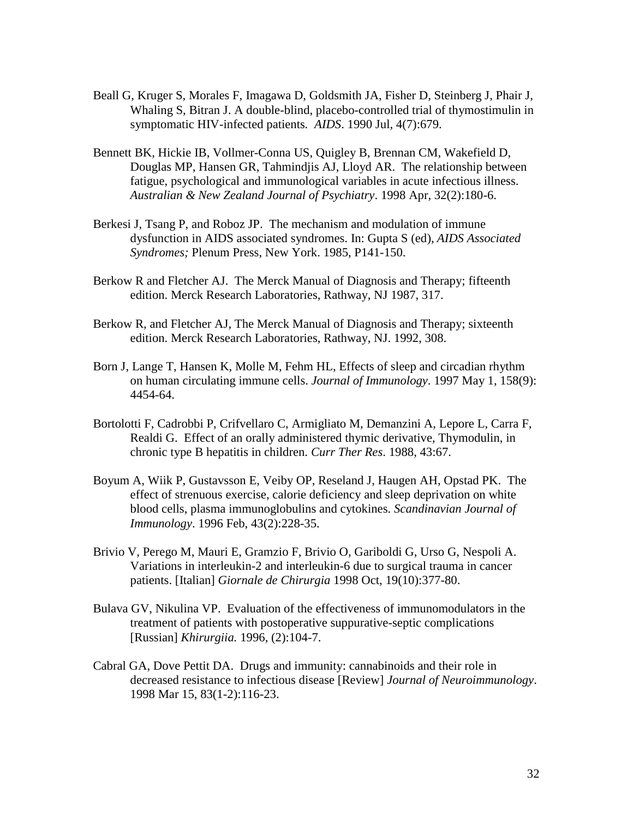- Beall G, Kruger S, Morales F, Imagawa D, Goldsmith JA, Fisher D, Steinberg J, Phair J, Whaling S, Bitran J. A double-blind, placebo-controlled trial of thymostimulin in symptomatic HIV-infected patients*. AIDS*. 1990 Jul, 4(7):679.
- Bennett BK, Hickie IB, Vollmer-Conna US, Quigley B, Brennan CM, Wakefield D, Douglas MP, Hansen GR, Tahmindjis AJ, Lloyd AR. The relationship between fatigue, psychological and immunological variables in acute infectious illness. *Australian & New Zealand Journal of Psychiatry*. 1998 Apr, 32(2):180-6.
- Berkesi J, Tsang P, and Roboz JP. The mechanism and modulation of immune dysfunction in AIDS associated syndromes. In: Gupta S (ed), *AIDS Associated Syndromes;* Plenum Press, New York. 1985, P141-150.
- Berkow R and Fletcher AJ. The Merck Manual of Diagnosis and Therapy; fifteenth edition. Merck Research Laboratories, Rathway, NJ 1987, 317.
- Berkow R, and Fletcher AJ, The Merck Manual of Diagnosis and Therapy; sixteenth edition. Merck Research Laboratories, Rathway, NJ. 1992, 308.
- Born J, Lange T, Hansen K, Molle M, Fehm HL, Effects of sleep and circadian rhythm on human circulating immune cells. *Journal of Immunology*. 1997 May 1, 158(9): 4454-64.
- Bortolotti F, Cadrobbi P, Crifvellaro C, Armigliato M, Demanzini A, Lepore L, Carra F, Realdi G. Effect of an orally administered thymic derivative, Thymodulin, in chronic type B hepatitis in children. *Curr Ther Res*. 1988, 43:67.
- Boyum A, Wiik P, Gustavsson E, Veiby OP, Reseland J, Haugen AH, Opstad PK. The effect of strenuous exercise, calorie deficiency and sleep deprivation on white blood cells, plasma immunoglobulins and cytokines. *Scandinavian Journal of Immunology*. 1996 Feb, 43(2):228-35.
- Brivio V, Perego M, Mauri E, Gramzio F, Brivio O, Gariboldi G, Urso G, Nespoli A. Variations in interleukin-2 and interleukin-6 due to surgical trauma in cancer patients. [Italian] *Giornale de Chirurgia* 1998 Oct, 19(10):377-80.
- Bulava GV, Nikulina VP. Evaluation of the effectiveness of immunomodulators in the treatment of patients with postoperative suppurative-septic complications [Russian] *Khirurgiia.* 1996, (2):104-7.
- Cabral GA, Dove Pettit DA. Drugs and immunity: cannabinoids and their role in decreased resistance to infectious disease [Review] *Journal of Neuroimmunology*. 1998 Mar 15, 83(1-2):116-23.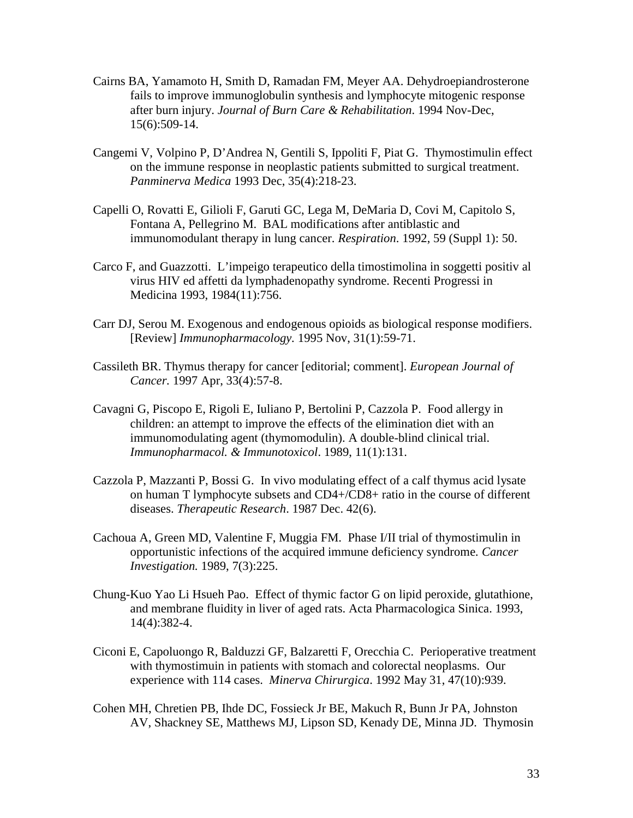- Cairns BA, Yamamoto H, Smith D, Ramadan FM, Meyer AA. Dehydroepiandrosterone fails to improve immunoglobulin synthesis and lymphocyte mitogenic response after burn injury. *Journal of Burn Care & Rehabilitation*. 1994 Nov-Dec, 15(6):509-14.
- Cangemi V, Volpino P, D'Andrea N, Gentili S, Ippoliti F, Piat G. Thymostimulin effect on the immune response in neoplastic patients submitted to surgical treatment. *Panminerva Medica* 1993 Dec, 35(4):218-23.
- Capelli O, Rovatti E, Gilioli F, Garuti GC, Lega M, DeMaria D, Covi M, Capitolo S, Fontana A, Pellegrino M. BAL modifications after antiblastic and immunomodulant therapy in lung cancer. *Respiration*. 1992, 59 (Suppl 1): 50.
- Carco F, and Guazzotti. L'impeigo terapeutico della timostimolina in soggetti positiv al virus HIV ed affetti da lymphadenopathy syndrome. Recenti Progressi in Medicina 1993, 1984(11):756.
- Carr DJ, Serou M. Exogenous and endogenous opioids as biological response modifiers. [Review] *Immunopharmacology.* 1995 Nov, 31(1):59-71.
- Cassileth BR. Thymus therapy for cancer [editorial; comment]. *European Journal of Cancer.* 1997 Apr, 33(4):57-8.
- Cavagni G, Piscopo E, Rigoli E, Iuliano P, Bertolini P, Cazzola P. Food allergy in children: an attempt to improve the effects of the elimination diet with an immunomodulating agent (thymomodulin). A double-blind clinical trial. *Immunopharmacol. & Immunotoxicol*. 1989, 11(1):131.
- Cazzola P, Mazzanti P, Bossi G. In vivo modulating effect of a calf thymus acid lysate on human T lymphocyte subsets and CD4+/CD8+ ratio in the course of different diseases. *Therapeutic Research*. 1987 Dec. 42(6).
- Cachoua A, Green MD, Valentine F, Muggia FM. Phase I/II trial of thymostimulin in opportunistic infections of the acquired immune deficiency syndrome*. Cancer Investigation.* 1989, 7(3):225.
- Chung-Kuo Yao Li Hsueh Pao. Effect of thymic factor G on lipid peroxide, glutathione, and membrane fluidity in liver of aged rats. Acta Pharmacologica Sinica. 1993, 14(4):382-4.
- Ciconi E, Capoluongo R, Balduzzi GF, Balzaretti F, Orecchia C. Perioperative treatment with thymostimuin in patients with stomach and colorectal neoplasms. Our experience with 114 cases. *Minerva Chirurgica*. 1992 May 31, 47(10):939.
- Cohen MH, Chretien PB, Ihde DC, Fossieck Jr BE, Makuch R, Bunn Jr PA, Johnston AV, Shackney SE, Matthews MJ, Lipson SD, Kenady DE, Minna JD. Thymosin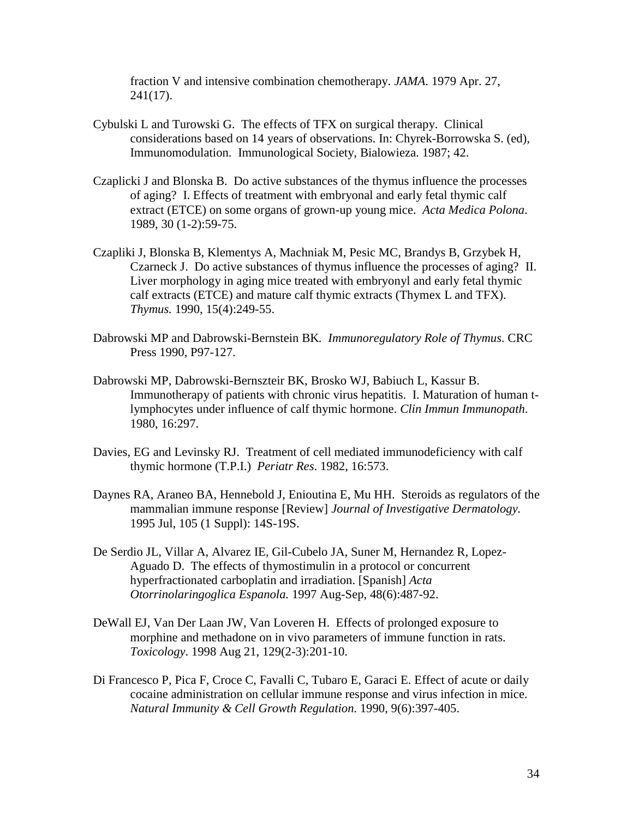fraction V and intensive combination chemotherapy. *JAMA*. 1979 Apr. 27,  $241(17)$ .

- Cybulski L and Turowski G. The effects of TFX on surgical therapy. Clinical considerations based on 14 years of observations. In: Chyrek-Borrowska S. (ed), Immunomodulation. Immunological Society, Bialowieza. 1987; 42.
- Czaplicki J and Blonska B. Do active substances of the thymus influence the processes of aging? I. Effects of treatment with embryonal and early fetal thymic calf extract (ETCE) on some organs of grown-up young mice. *Acta Medica Polona*. 1989, 30 (1-2):59-75.
- Czapliki J, Blonska B, Klementys A, Machniak M, Pesic MC, Brandys B, Grzybek H, Czarneck J. Do active substances of thymus influence the processes of aging? II. Liver morphology in aging mice treated with embryonyl and early fetal thymic calf extracts (ETCE) and mature calf thymic extracts (Thymex L and TFX). *Thymus.* 1990, 15(4):249-55.
- Dabrowski MP and Dabrowski-Bernstein BK*. Immunoregulatory Role of Thymus*. CRC Press 1990, P97-127.
- Dabrowski MP, Dabrowski-Bernszteir BK, Brosko WJ, Babiuch L, Kassur B. Immunotherapy of patients with chronic virus hepatitis. I. Maturation of human tlymphocytes under influence of calf thymic hormone. *Clin Immun Immunopath*. 1980, 16:297.
- Davies, EG and Levinsky RJ. Treatment of cell mediated immunodeficiency with calf thymic hormone (T.P.I.) *Periatr Res*. 1982, 16:573.
- Daynes RA, Araneo BA, Hennebold J, Enioutina E, Mu HH. Steroids as regulators of the mammalian immune response [Review] *Journal of Investigative Dermatology*. 1995 Jul, 105 (1 Suppl): 14S-19S.
- De Serdio JL, Villar A, Alvarez IE, Gil-Cubelo JA, Suner M, Hernandez R, Lopez-Aguado D. The effects of thymostimulin in a protocol or concurrent hyperfractionated carboplatin and irradiation. [Spanish] *Acta Otorrinolaringoglica Espanola.* 1997 Aug-Sep, 48(6):487-92.
- DeWall EJ, Van Der Laan JW, Van Loveren H. Effects of prolonged exposure to morphine and methadone on in vivo parameters of immune function in rats. *Toxicology*. 1998 Aug 21, 129(2-3):201-10.
- Di Francesco P, Pica F, Croce C, Favalli C, Tubaro E, Garaci E. Effect of acute or daily cocaine administration on cellular immune response and virus infection in mice. *Natural Immunity & Cell Growth Regulation*. 1990, 9(6):397-405.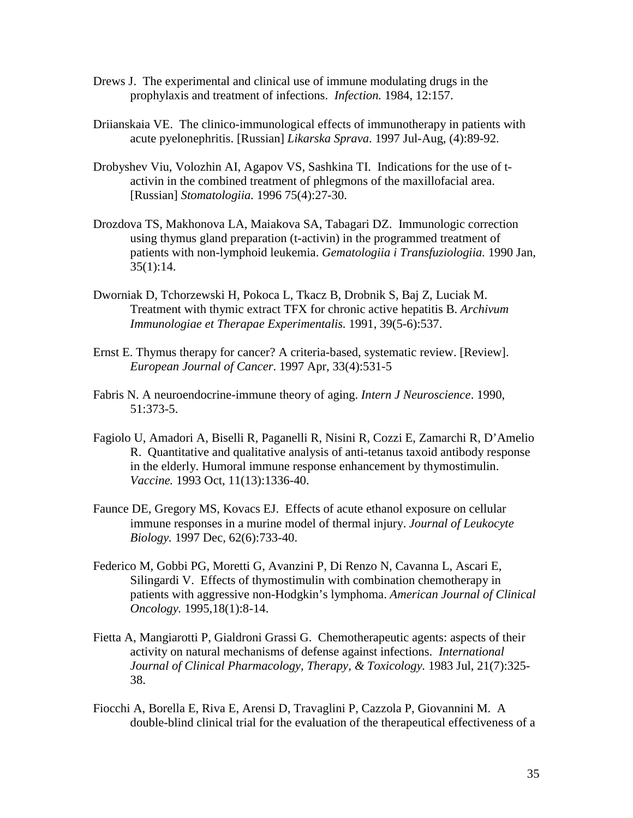- Drews J. The experimental and clinical use of immune modulating drugs in the prophylaxis and treatment of infections. *Infection.* 1984, 12:157.
- Driianskaia VE. The clinico-immunological effects of immunotherapy in patients with acute pyelonephritis. [Russian] *Likarska Sprava*. 1997 Jul-Aug, (4):89-92.
- Drobyshev Viu, Volozhin AI, Agapov VS, Sashkina TI. Indications for the use of tactivin in the combined treatment of phlegmons of the maxillofacial area. [Russian] *Stomatologiia.* 1996 75(4):27-30.
- Drozdova TS, Makhonova LA, Maiakova SA, Tabagari DZ. Immunologic correction using thymus gland preparation (t-activin) in the programmed treatment of patients with non-lymphoid leukemia. *Gematologiia i Transfuziologiia.* 1990 Jan, 35(1):14.
- Dworniak D, Tchorzewski H, Pokoca L, Tkacz B, Drobnik S, Baj Z, Luciak M. Treatment with thymic extract TFX for chronic active hepatitis B. *Archivum Immunologiae et Therapae Experimentalis.* 1991, 39(5-6):537.
- Ernst E. Thymus therapy for cancer? A criteria-based, systematic review. [Review]. *European Journal of Cancer*. 1997 Apr, 33(4):531-5
- Fabris N. A neuroendocrine-immune theory of aging. *Intern J Neuroscience*. 1990, 51:373-5.
- Fagiolo U, Amadori A, Biselli R, Paganelli R, Nisini R, Cozzi E, Zamarchi R, D'Amelio R. Quantitative and qualitative analysis of anti-tetanus taxoid antibody response in the elderly. Humoral immune response enhancement by thymostimulin. *Vaccine.* 1993 Oct, 11(13):1336-40.
- Faunce DE, Gregory MS, Kovacs EJ. Effects of acute ethanol exposure on cellular immune responses in a murine model of thermal injury. *Journal of Leukocyte Biology.* 1997 Dec, 62(6):733-40.
- Federico M, Gobbi PG, Moretti G, Avanzini P, Di Renzo N, Cavanna L, Ascari E, Silingardi V. Effects of thymostimulin with combination chemotherapy in patients with aggressive non-Hodgkin's lymphoma. *American Journal of Clinical Oncology.* 1995,18(1):8-14.
- Fietta A, Mangiarotti P, Gialdroni Grassi G. Chemotherapeutic agents: aspects of their activity on natural mechanisms of defense against infections. *International Journal of Clinical Pharmacology, Therapy, & Toxicology.* 1983 Jul, 21(7):325- 38.
- Fiocchi A, Borella E, Riva E, Arensi D, Travaglini P, Cazzola P, Giovannini M. A double-blind clinical trial for the evaluation of the therapeutical effectiveness of a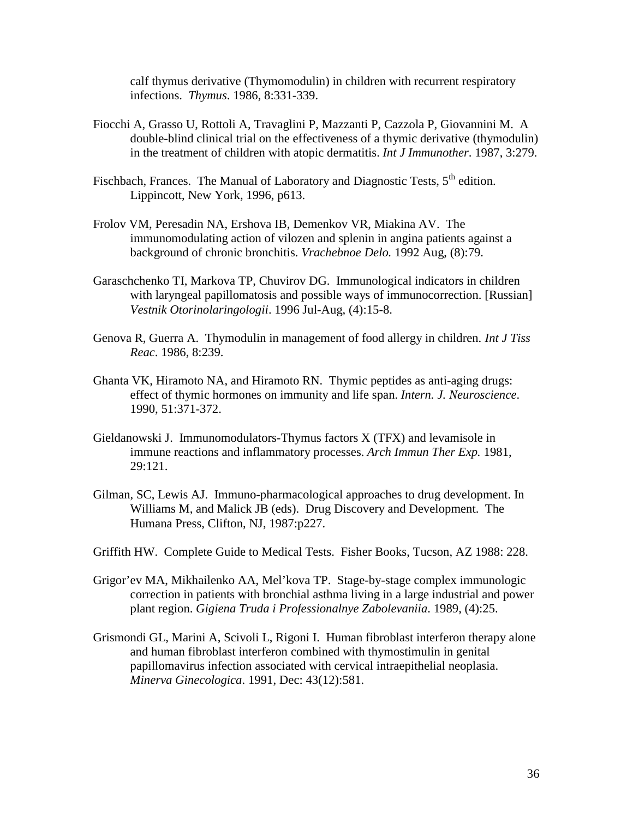calf thymus derivative (Thymomodulin) in children with recurrent respiratory infections. *Thymus*. 1986, 8:331-339.

- Fiocchi A, Grasso U, Rottoli A, Travaglini P, Mazzanti P, Cazzola P, Giovannini M. A double-blind clinical trial on the effectiveness of a thymic derivative (thymodulin) in the treatment of children with atopic dermatitis. *Int J Immunother*. 1987, 3:279.
- Fischbach, Frances. The Manual of Laboratory and Diagnostic Tests, 5<sup>th</sup> edition. Lippincott, New York, 1996, p613.
- Frolov VM, Peresadin NA, Ershova IB, Demenkov VR, Miakina AV. The immunomodulating action of vilozen and splenin in angina patients against a background of chronic bronchitis. *Vrachebnoe Delo.* 1992 Aug, (8):79.
- Garaschchenko TI, Markova TP, Chuvirov DG. Immunological indicators in children with laryngeal papillomatosis and possible ways of immunocorrection. [Russian] *Vestnik Otorinolaringologii*. 1996 Jul-Aug, (4):15-8.
- Genova R, Guerra A. Thymodulin in management of food allergy in children. *Int J Tiss Reac*. 1986, 8:239.
- Ghanta VK, Hiramoto NA, and Hiramoto RN. Thymic peptides as anti-aging drugs: effect of thymic hormones on immunity and life span. *Intern. J. Neuroscience*. 1990, 51:371-372.
- Gieldanowski J. Immunomodulators-Thymus factors X (TFX) and levamisole in immune reactions and inflammatory processes. *Arch Immun Ther Exp.* 1981, 29:121.
- Gilman, SC, Lewis AJ. Immuno-pharmacological approaches to drug development. In Williams M, and Malick JB (eds). Drug Discovery and Development. The Humana Press, Clifton, NJ, 1987:p227.
- Griffith HW. Complete Guide to Medical Tests. Fisher Books, Tucson, AZ 1988: 228.
- Grigor'ev MA, Mikhailenko AA, Mel'kova TP. Stage-by-stage complex immunologic correction in patients with bronchial asthma living in a large industrial and power plant region. *Gigiena Truda i Professionalnye Zabolevaniia*. 1989, (4):25.
- Grismondi GL, Marini A, Scivoli L, Rigoni I. Human fibroblast interferon therapy alone and human fibroblast interferon combined with thymostimulin in genital papillomavirus infection associated with cervical intraepithelial neoplasia. *Minerva Ginecologica*. 1991, Dec: 43(12):581.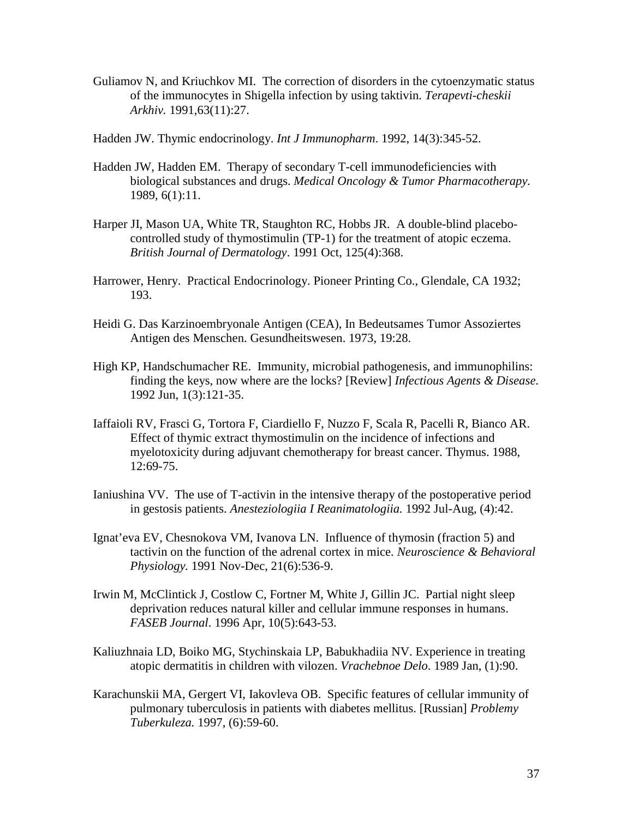- Guliamov N, and Kriuchkov MI. The correction of disorders in the cytoenzymatic status of the immunocytes in Shigella infection by using taktivin. *Terapevti-cheskii Arkhiv.* 1991,63(11):27.
- Hadden JW. Thymic endocrinology. *Int J Immunopharm*. 1992, 14(3):345-52.
- Hadden JW, Hadden EM. Therapy of secondary T-cell immunodeficiencies with biological substances and drugs. *Medical Oncology & Tumor Pharmacotherapy*. 1989, 6(1):11.
- Harper JI, Mason UA, White TR, Staughton RC, Hobbs JR. A double-blind placebocontrolled study of thymostimulin (TP-1) for the treatment of atopic eczema. *British Journal of Dermatology*. 1991 Oct, 125(4):368.
- Harrower, Henry. Practical Endocrinology. Pioneer Printing Co., Glendale, CA 1932; 193.
- Heidi G. Das Karzinoembryonale Antigen (CEA), In Bedeutsames Tumor Assoziertes Antigen des Menschen. Gesundheitswesen. 1973, 19:28.
- High KP, Handschumacher RE. Immunity, microbial pathogenesis, and immunophilins: finding the keys, now where are the locks? [Review] *Infectious Agents & Disease*. 1992 Jun, 1(3):121-35.
- Iaffaioli RV, Frasci G, Tortora F, Ciardiello F, Nuzzo F, Scala R, Pacelli R, Bianco AR. Effect of thymic extract thymostimulin on the incidence of infections and myelotoxicity during adjuvant chemotherapy for breast cancer. Thymus. 1988, 12:69-75.
- Ianiushina VV. The use of T-activin in the intensive therapy of the postoperative period in gestosis patients. *Anesteziologiia I Reanimatologiia.* 1992 Jul-Aug, (4):42.
- Ignat'eva EV, Chesnokova VM, Ivanova LN. Influence of thymosin (fraction 5) and tactivin on the function of the adrenal cortex in mice. *Neuroscience & Behavioral Physiology.* 1991 Nov-Dec, 21(6):536-9.
- Irwin M, McClintick J, Costlow C, Fortner M, White J, Gillin JC. Partial night sleep deprivation reduces natural killer and cellular immune responses in humans. *FASEB Journal*. 1996 Apr, 10(5):643-53.
- Kaliuzhnaia LD, Boiko MG, Stychinskaia LP, Babukhadiia NV. Experience in treating atopic dermatitis in children with vilozen. *Vrachebnoe Delo*. 1989 Jan, (1):90.
- Karachunskii MA, Gergert VI, Iakovleva OB. Specific features of cellular immunity of pulmonary tuberculosis in patients with diabetes mellitus. [Russian] *Problemy Tuberkuleza.* 1997, (6):59-60.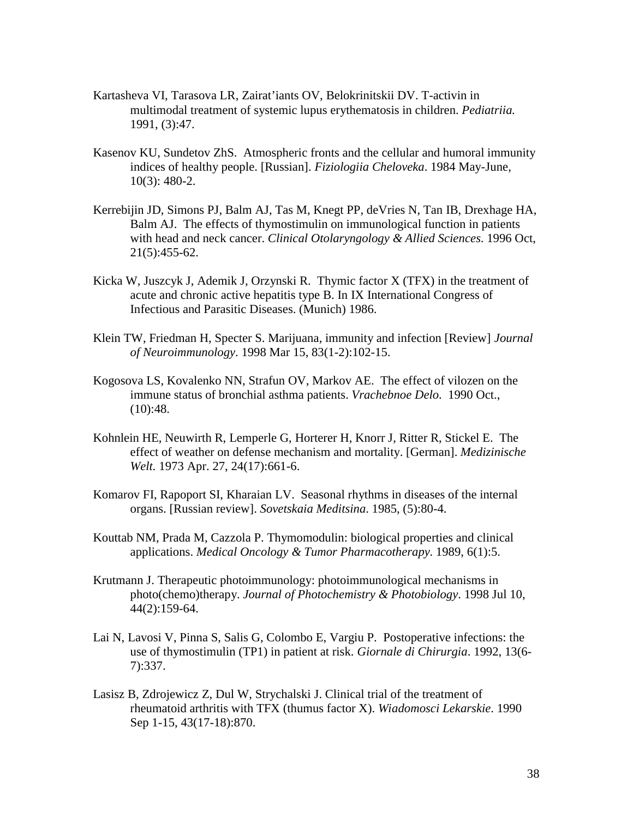- Kartasheva VI, Tarasova LR, Zairat'iants OV, Belokrinitskii DV. T-activin in multimodal treatment of systemic lupus erythematosis in children. *Pediatriia.* 1991, (3):47.
- Kasenov KU, Sundetov ZhS. Atmospheric fronts and the cellular and humoral immunity indices of healthy people. [Russian]. *Fiziologiia Cheloveka*. 1984 May-June, 10(3): 480-2.
- Kerrebijin JD, Simons PJ, Balm AJ, Tas M, Knegt PP, deVries N, Tan IB, Drexhage HA, Balm AJ. The effects of thymostimulin on immunological function in patients with head and neck cancer. *Clinical Otolaryngology & Allied Sciences*. 1996 Oct, 21(5):455-62.
- Kicka W, Juszcyk J, Ademik J, Orzynski R. Thymic factor X (TFX) in the treatment of acute and chronic active hepatitis type B. In IX International Congress of Infectious and Parasitic Diseases. (Munich) 1986.
- Klein TW, Friedman H, Specter S. Marijuana, immunity and infection [Review] *Journal of Neuroimmunology*. 1998 Mar 15, 83(1-2):102-15.
- Kogosova LS, Kovalenko NN, Strafun OV, Markov AE. The effect of vilozen on the immune status of bronchial asthma patients. *Vrachebnoe Delo*. 1990 Oct.,  $(10):48.$
- Kohnlein HE, Neuwirth R, Lemperle G, Horterer H, Knorr J, Ritter R, Stickel E. The effect of weather on defense mechanism and mortality. [German]. *Medizinische Welt.* 1973 Apr. 27, 24(17):661-6.
- Komarov FI, Rapoport SI, Kharaian LV. Seasonal rhythms in diseases of the internal organs. [Russian review]. *Sovetskaia Meditsina*. 1985, (5):80-4.
- Kouttab NM, Prada M, Cazzola P. Thymomodulin: biological properties and clinical applications. *Medical Oncology & Tumor Pharmacotherapy.* 1989, 6(1):5.
- Krutmann J. Therapeutic photoimmunology: photoimmunological mechanisms in photo(chemo)therapy. *Journal of Photochemistry & Photobiology*. 1998 Jul 10, 44(2):159-64.
- Lai N, Lavosi V, Pinna S, Salis G, Colombo E, Vargiu P. Postoperative infections: the use of thymostimulin (TP1) in patient at risk. *Giornale di Chirurgia*. 1992, 13(6- 7):337.
- Lasisz B, Zdrojewicz Z, Dul W, Strychalski J. Clinical trial of the treatment of rheumatoid arthritis with TFX (thumus factor X). *Wiadomosci Lekarskie*. 1990 Sep 1-15, 43(17-18):870.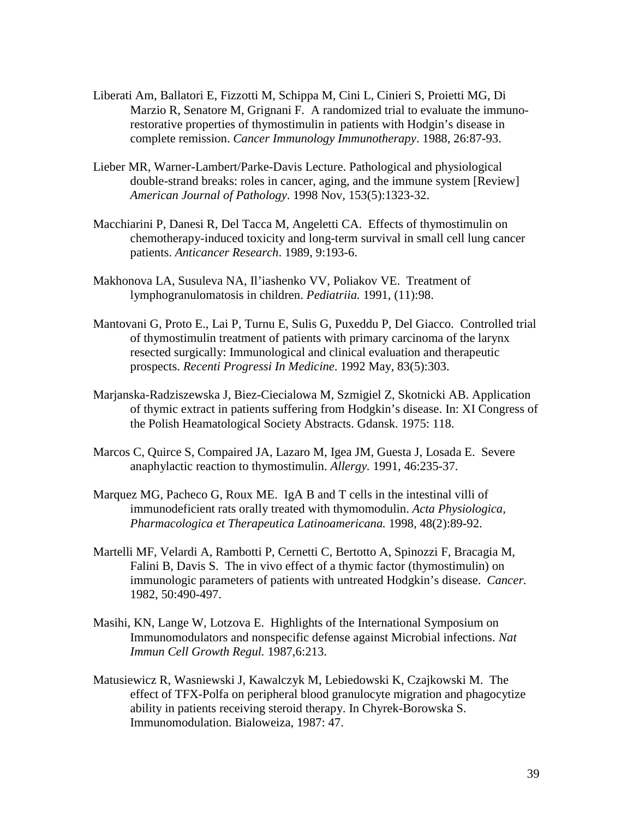- Liberati Am, Ballatori E, Fizzotti M, Schippa M, Cini L, Cinieri S, Proietti MG, Di Marzio R, Senatore M, Grignani F. A randomized trial to evaluate the immunorestorative properties of thymostimulin in patients with Hodgin's disease in complete remission. *Cancer Immunology Immunotherapy*. 1988, 26:87-93.
- Lieber MR, Warner-Lambert/Parke-Davis Lecture. Pathological and physiological double-strand breaks: roles in cancer, aging, and the immune system [Review] *American Journal of Pathology*. 1998 Nov, 153(5):1323-32.
- Macchiarini P, Danesi R, Del Tacca M, Angeletti CA. Effects of thymostimulin on chemotherapy-induced toxicity and long-term survival in small cell lung cancer patients. *Anticancer Research*. 1989, 9:193-6.
- Makhonova LA, Susuleva NA, Il'iashenko VV, Poliakov VE. Treatment of lymphogranulomatosis in children. *Pediatriia.* 1991, (11):98.
- Mantovani G, Proto E., Lai P, Turnu E, Sulis G, Puxeddu P, Del Giacco. Controlled trial of thymostimulin treatment of patients with primary carcinoma of the larynx resected surgically: Immunological and clinical evaluation and therapeutic prospects. *Recenti Progressi In Medicine*. 1992 May, 83(5):303.
- Marjanska-Radziszewska J, Biez-Ciecialowa M, Szmigiel Z, Skotnicki AB. Application of thymic extract in patients suffering from Hodgkin's disease. In: XI Congress of the Polish Heamatological Society Abstracts. Gdansk. 1975: 118.
- Marcos C, Quirce S, Compaired JA, Lazaro M, Igea JM, Guesta J, Losada E. Severe anaphylactic reaction to thymostimulin. *Allergy.* 1991, 46:235-37.
- Marquez MG, Pacheco G, Roux ME. IgA B and T cells in the intestinal villi of immunodeficient rats orally treated with thymomodulin. *Acta Physiologica, Pharmacologica et Therapeutica Latinoamericana.* 1998, 48(2):89-92.
- Martelli MF, Velardi A, Rambotti P, Cernetti C, Bertotto A, Spinozzi F, Bracagia M, Falini B, Davis S. The in vivo effect of a thymic factor (thymostimulin) on immunologic parameters of patients with untreated Hodgkin's disease. *Cancer.* 1982, 50:490-497.
- Masihi, KN, Lange W, Lotzova E. Highlights of the International Symposium on Immunomodulators and nonspecific defense against Microbial infections. *Nat Immun Cell Growth Regul.* 1987,6:213.
- Matusiewicz R, Wasniewski J, Kawalczyk M, Lebiedowski K, Czajkowski M. The effect of TFX-Polfa on peripheral blood granulocyte migration and phagocytize ability in patients receiving steroid therapy. In Chyrek-Borowska S. Immunomodulation. Bialoweiza, 1987: 47.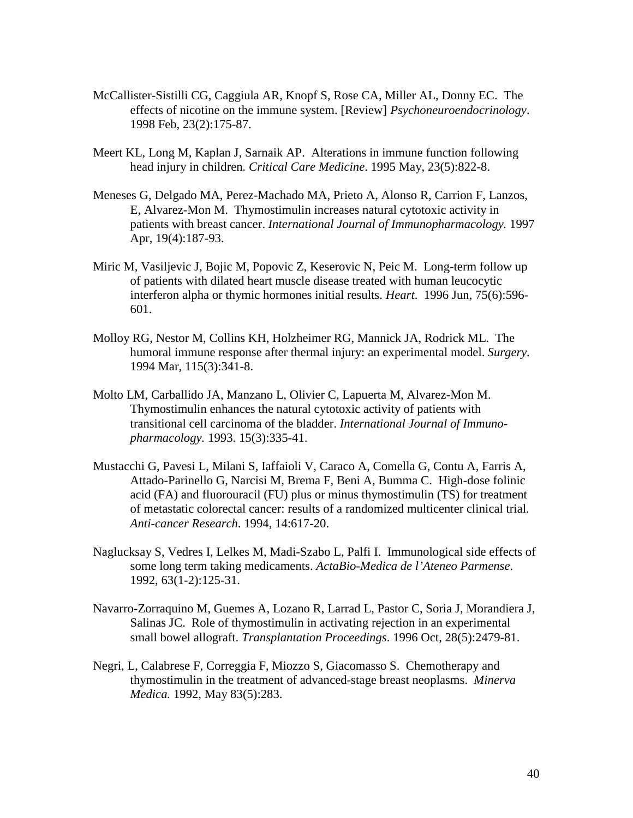- McCallister-Sistilli CG, Caggiula AR, Knopf S, Rose CA, Miller AL, Donny EC. The effects of nicotine on the immune system. [Review] *Psychoneuroendocrinology*. 1998 Feb, 23(2):175-87.
- Meert KL, Long M, Kaplan J, Sarnaik AP. Alterations in immune function following head injury in children*. Critical Care Medicine*. 1995 May, 23(5):822-8.
- Meneses G, Delgado MA, Perez-Machado MA, Prieto A, Alonso R, Carrion F, Lanzos, E, Alvarez-Mon M. Thymostimulin increases natural cytotoxic activity in patients with breast cancer. *International Journal of Immunopharmacology.* 1997 Apr, 19(4):187-93.
- Miric M, Vasiljevic J, Bojic M, Popovic Z, Keserovic N, Peic M. Long-term follow up of patients with dilated heart muscle disease treated with human leucocytic interferon alpha or thymic hormones initial results. *Heart*. 1996 Jun, 75(6):596- 601.
- Molloy RG, Nestor M, Collins KH, Holzheimer RG, Mannick JA, Rodrick ML. The humoral immune response after thermal injury: an experimental model. *Surgery.* 1994 Mar, 115(3):341-8.
- Molto LM, Carballido JA, Manzano L, Olivier C, Lapuerta M, Alvarez-Mon M. Thymostimulin enhances the natural cytotoxic activity of patients with transitional cell carcinoma of the bladder. *International Journal of Immunopharmacology.* 1993. 15(3):335-41.
- Mustacchi G, Pavesi L, Milani S, Iaffaioli V, Caraco A, Comella G, Contu A, Farris A, Attado-Parinello G, Narcisi M, Brema F, Beni A, Bumma C. High-dose folinic acid (FA) and fluorouracil (FU) plus or minus thymostimulin (TS) for treatment of metastatic colorectal cancer: results of a randomized multicenter clinical trial. *Anti-cancer Research*. 1994, 14:617-20.
- Naglucksay S, Vedres I, Lelkes M, Madi-Szabo L, Palfi I. Immunological side effects of some long term taking medicaments. *ActaBio-Medica de l'Ateneo Parmense*. 1992, 63(1-2):125-31.
- Navarro-Zorraquino M, Guemes A, Lozano R, Larrad L, Pastor C, Soria J, Morandiera J, Salinas JC. Role of thymostimulin in activating rejection in an experimental small bowel allograft. *Transplantation Proceedings*. 1996 Oct, 28(5):2479-81.
- Negri, L, Calabrese F, Correggia F, Miozzo S, Giacomasso S. Chemotherapy and thymostimulin in the treatment of advanced-stage breast neoplasms. *Minerva Medica.* 1992, May 83(5):283.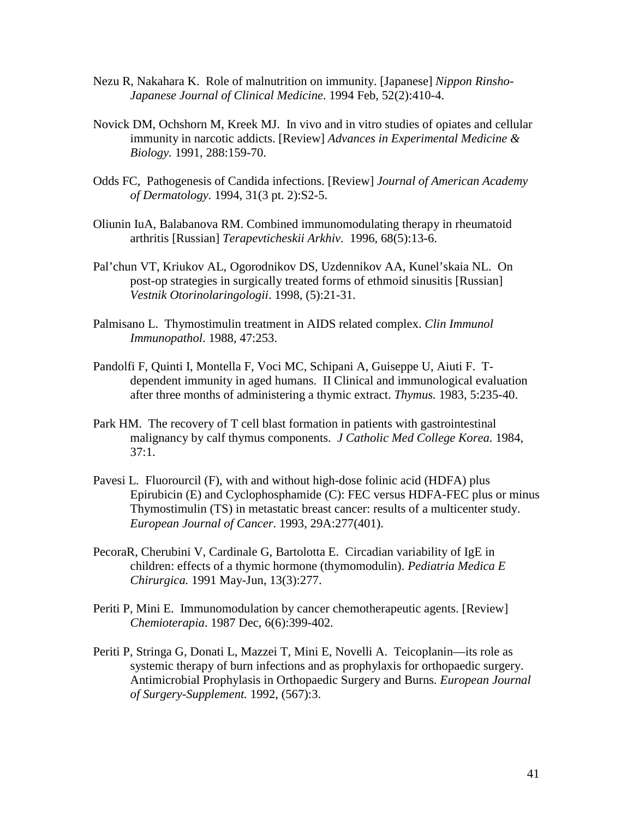- Nezu R, Nakahara K. Role of malnutrition on immunity. [Japanese] *Nippon Rinsho-Japanese Journal of Clinical Medicine*. 1994 Feb, 52(2):410-4.
- Novick DM, Ochshorn M, Kreek MJ. In vivo and in vitro studies of opiates and cellular immunity in narcotic addicts. [Review] *Advances in Experimental Medicine & Biology.* 1991, 288:159-70.
- Odds FC, Pathogenesis of Candida infections. [Review] *Journal of American Academy of Dermatology.* 1994, 31(3 pt. 2):S2-5.
- Oliunin IuA, Balabanova RM. Combined immunomodulating therapy in rheumatoid arthritis [Russian] *Terapevticheskii Arkhiv*. 1996, 68(5):13-6.
- Pal'chun VT, Kriukov AL, Ogorodnikov DS, Uzdennikov AA, Kunel'skaia NL. On post-op strategies in surgically treated forms of ethmoid sinusitis [Russian] *Vestnik Otorinolaringologii*. 1998, (5):21-31.
- Palmisano L. Thymostimulin treatment in AIDS related complex. *Clin Immunol Immunopathol*. 1988, 47:253.
- Pandolfi F, Quinti I, Montella F, Voci MC, Schipani A, Guiseppe U, Aiuti F. Tdependent immunity in aged humans. II Clinical and immunological evaluation after three months of administering a thymic extract. *Thymus.* 1983, 5:235-40.
- Park HM. The recovery of T cell blast formation in patients with gastrointestinal malignancy by calf thymus components. *J Catholic Med College Korea*. 1984,  $37:1.$
- Pavesi L. Fluorourcil (F), with and without high-dose folinic acid (HDFA) plus Epirubicin (E) and Cyclophosphamide (C): FEC versus HDFA-FEC plus or minus Thymostimulin (TS) in metastatic breast cancer: results of a multicenter study. *European Journal of Cancer*. 1993, 29A:277(401).
- PecoraR, Cherubini V, Cardinale G, Bartolotta E. Circadian variability of IgE in children: effects of a thymic hormone (thymomodulin). *Pediatria Medica E Chirurgica.* 1991 May-Jun, 13(3):277.
- Periti P, Mini E. Immunomodulation by cancer chemotherapeutic agents. [Review] *Chemioterapia*. 1987 Dec, 6(6):399-402.
- Periti P, Stringa G, Donati L, Mazzei T, Mini E, Novelli A. Teicoplanin—its role as systemic therapy of burn infections and as prophylaxis for orthopaedic surgery. Antimicrobial Prophylasis in Orthopaedic Surgery and Burns*. European Journal of Surgery-Supplement.* 1992, (567):3.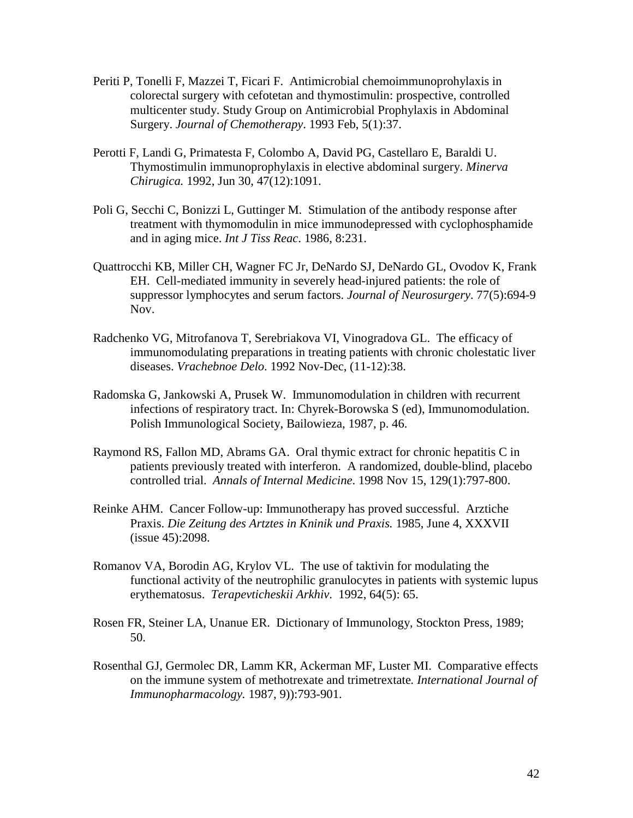- Periti P, Tonelli F, Mazzei T, Ficari F. Antimicrobial chemoimmunoprohylaxis in colorectal surgery with cefotetan and thymostimulin: prospective, controlled multicenter study. Study Group on Antimicrobial Prophylaxis in Abdominal Surgery. *Journal of Chemotherapy*. 1993 Feb, 5(1):37.
- Perotti F, Landi G, Primatesta F, Colombo A, David PG, Castellaro E, Baraldi U. Thymostimulin immunoprophylaxis in elective abdominal surgery. *Minerva Chirugica.* 1992, Jun 30, 47(12):1091.
- Poli G, Secchi C, Bonizzi L, Guttinger M. Stimulation of the antibody response after treatment with thymomodulin in mice immunodepressed with cyclophosphamide and in aging mice. *Int J Tiss Reac*. 1986, 8:231.
- Quattrocchi KB, Miller CH, Wagner FC Jr, DeNardo SJ, DeNardo GL, Ovodov K, Frank EH. Cell-mediated immunity in severely head-injured patients: the role of suppressor lymphocytes and serum factors. *Journal of Neurosurgery*. 77(5):694-9 Nov.
- Radchenko VG, Mitrofanova T, Serebriakova VI, Vinogradova GL. The efficacy of immunomodulating preparations in treating patients with chronic cholestatic liver diseases. *Vrachebnoe Delo*. 1992 Nov-Dec, (11-12):38.
- Radomska G, Jankowski A, Prusek W. Immunomodulation in children with recurrent infections of respiratory tract. In: Chyrek-Borowska S (ed), Immunomodulation. Polish Immunological Society, Bailowieza, 1987, p. 46.
- Raymond RS, Fallon MD, Abrams GA. Oral thymic extract for chronic hepatitis C in patients previously treated with interferon. A randomized, double-blind, placebo controlled trial. *Annals of Internal Medicine*. 1998 Nov 15, 129(1):797-800.
- Reinke AHM. Cancer Follow-up: Immunotherapy has proved successful. Arztiche Praxis. *Die Zeitung des Artztes in Kninik und Praxis.* 1985, June 4, XXXVII (issue 45):2098.
- Romanov VA, Borodin AG, Krylov VL. The use of taktivin for modulating the functional activity of the neutrophilic granulocytes in patients with systemic lupus erythematosus. *Terapevticheskii Arkhiv*. 1992, 64(5): 65.
- Rosen FR, Steiner LA, Unanue ER. Dictionary of Immunology, Stockton Press, 1989; 50.
- Rosenthal GJ, Germolec DR, Lamm KR, Ackerman MF, Luster MI. Comparative effects on the immune system of methotrexate and trimetrextate*. International Journal of Immunopharmacology.* 1987, 9)):793-901.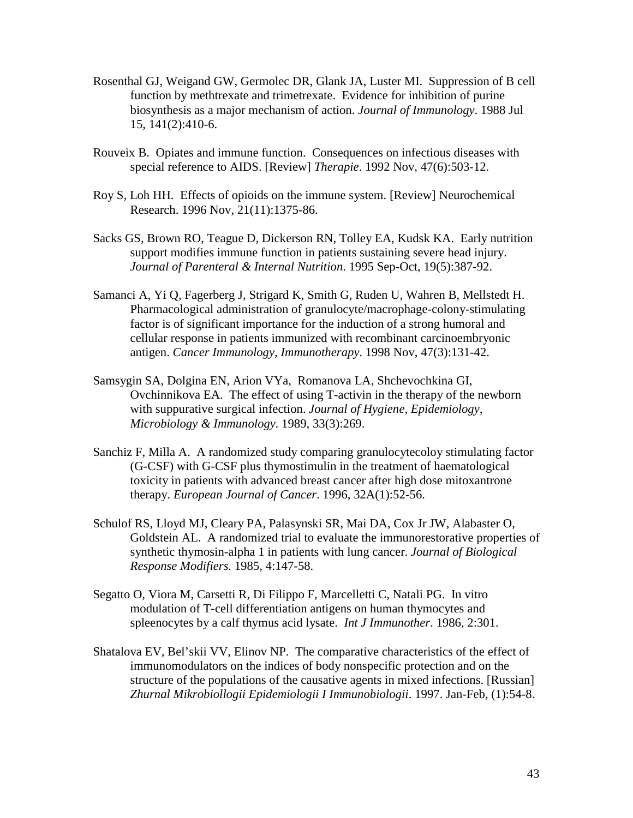- Rosenthal GJ, Weigand GW, Germolec DR, Glank JA, Luster MI. Suppression of B cell function by methtrexate and trimetrexate. Evidence for inhibition of purine biosynthesis as a major mechanism of action. *Journal of Immunology*. 1988 Jul 15, 141(2):410-6.
- Rouveix B. Opiates and immune function. Consequences on infectious diseases with special reference to AIDS. [Review] *Therapie*. 1992 Nov, 47(6):503-12.
- Roy S, Loh HH. Effects of opioids on the immune system. [Review] Neurochemical Research. 1996 Nov, 21(11):1375-86.
- Sacks GS, Brown RO, Teague D, Dickerson RN, Tolley EA, Kudsk KA. Early nutrition support modifies immune function in patients sustaining severe head injury. *Journal of Parenteral & Internal Nutrition*. 1995 Sep-Oct, 19(5):387-92.
- Samanci A, Yi Q, Fagerberg J, Strigard K, Smith G, Ruden U, Wahren B, Mellstedt H. Pharmacological administration of granulocyte/macrophage-colony-stimulating factor is of significant importance for the induction of a strong humoral and cellular response in patients immunized with recombinant carcinoembryonic antigen. *Cancer Immunology, Immunotherapy*. 1998 Nov, 47(3):131-42.
- Samsygin SA, Dolgina EN, Arion VYa, Romanova LA, Shchevochkina GI, Ovchinnikova EA. The effect of using T-activin in the therapy of the newborn with suppurative surgical infection. *Journal of Hygiene, Epidemiology, Microbiology & Immunology.* 1989, 33(3):269.
- Sanchiz F, Milla A. A randomized study comparing granulocytecoloy stimulating factor (G-CSF) with G-CSF plus thymostimulin in the treatment of haematological toxicity in patients with advanced breast cancer after high dose mitoxantrone therapy. *European Journal of Cancer*. 1996, 32A(1):52-56.
- Schulof RS, Lloyd MJ, Cleary PA, Palasynski SR, Mai DA, Cox Jr JW, Alabaster O, Goldstein AL. A randomized trial to evaluate the immunorestorative properties of synthetic thymosin-alpha 1 in patients with lung cancer. *Journal of Biological Response Modifiers.* 1985, 4:147-58.
- Segatto O, Viora M, Carsetti R, Di Filippo F, Marcelletti C, Natali PG. In vitro modulation of T-cell differentiation antigens on human thymocytes and spleenocytes by a calf thymus acid lysate. *Int J Immunother*. 1986, 2:301.
- Shatalova EV, Bel'skii VV, Elinov NP. The comparative characteristics of the effect of immunomodulators on the indices of body nonspecific protection and on the structure of the populations of the causative agents in mixed infections. [Russian] *Zhurnal Mikrobiollogii Epidemiologii I Immunobiologii*. 1997. Jan-Feb, (1):54-8.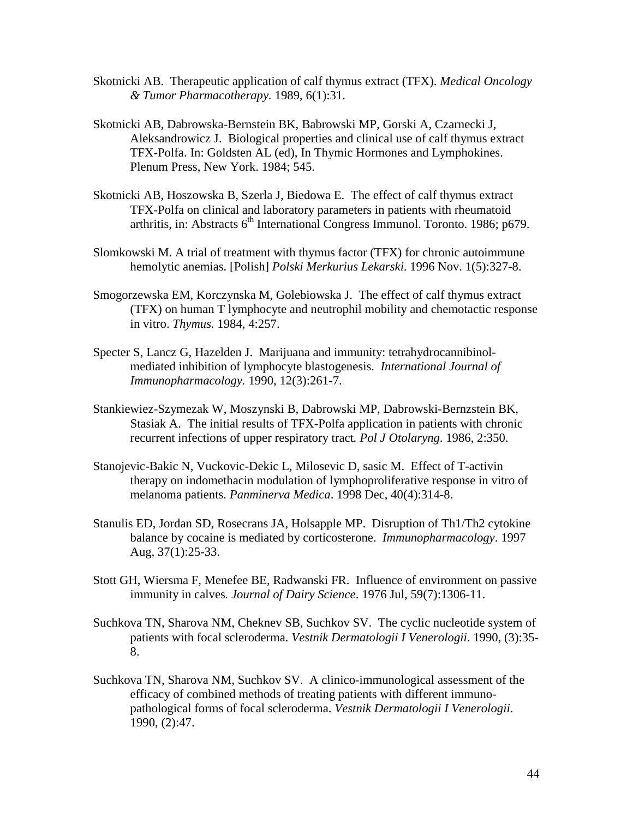- Skotnicki AB. Therapeutic application of calf thymus extract (TFX). *Medical Oncology & Tumor Pharmacotherapy.* 1989, 6(1):31.
- Skotnicki AB, Dabrowska-Bernstein BK, Babrowski MP, Gorski A, Czarnecki J, Aleksandrowicz J. Biological properties and clinical use of calf thymus extract TFX-Polfa. In: Goldsten AL (ed), In Thymic Hormones and Lymphokines. Plenum Press, New York. 1984; 545.
- Skotnicki AB, Hoszowska B, Szerla J, Biedowa E. The effect of calf thymus extract TFX-Polfa on clinical and laboratory parameters in patients with rheumatoid arthritis, in: Abstracts  $6<sup>th</sup>$  International Congress Immunol. Toronto. 1986; p679.
- Slomkowski M. A trial of treatment with thymus factor (TFX) for chronic autoimmune hemolytic anemias. [Polish] *Polski Merkurius Lekarski*. 1996 Nov. 1(5):327-8.
- Smogorzewska EM, Korczynska M, Golebiowska J. The effect of calf thymus extract (TFX) on human T lymphocyte and neutrophil mobility and chemotactic response in vitro. *Thymus.* 1984, 4:257.
- Specter S, Lancz G, Hazelden J. Marijuana and immunity: tetrahydrocannibinolmediated inhibition of lymphocyte blastogenesis. *International Journal of Immunopharmacology.* 1990, 12(3):261-7.
- Stankiewiez-Szymezak W, Moszynski B, Dabrowski MP, Dabrowski-Bernzstein BK, Stasiak A. The initial results of TFX-Polfa application in patients with chronic recurrent infections of upper respiratory tract*. Pol J Otolaryng*. 1986, 2:350.
- Stanojevic-Bakic N, Vuckovic-Dekic L, Milosevic D, sasic M. Effect of T-activin therapy on indomethacin modulation of lymphoproliferative response in vitro of melanoma patients. *Panminerva Medica*. 1998 Dec, 40(4):314-8.
- Stanulis ED, Jordan SD, Rosecrans JA, Holsapple MP. Disruption of Th1/Th2 cytokine balance by cocaine is mediated by corticosterone. *Immunopharmacology*. 1997 Aug, 37(1):25-33.
- Stott GH, Wiersma F, Menefee BE, Radwanski FR. Influence of environment on passive immunity in calves*. Journal of Dairy Science*. 1976 Jul, 59(7):1306-11.
- Suchkova TN, Sharova NM, Cheknev SB, Suchkov SV. The cyclic nucleotide system of patients with focal scleroderma. *Vestnik Dermatologii I Venerologii*. 1990, (3):35- 8.
- Suchkova TN, Sharova NM, Suchkov SV. A clinico-immunological assessment of the efficacy of combined methods of treating patients with different immunopathological forms of focal scleroderma. *Vestnik Dermatologii I Venerologii*. 1990, (2):47.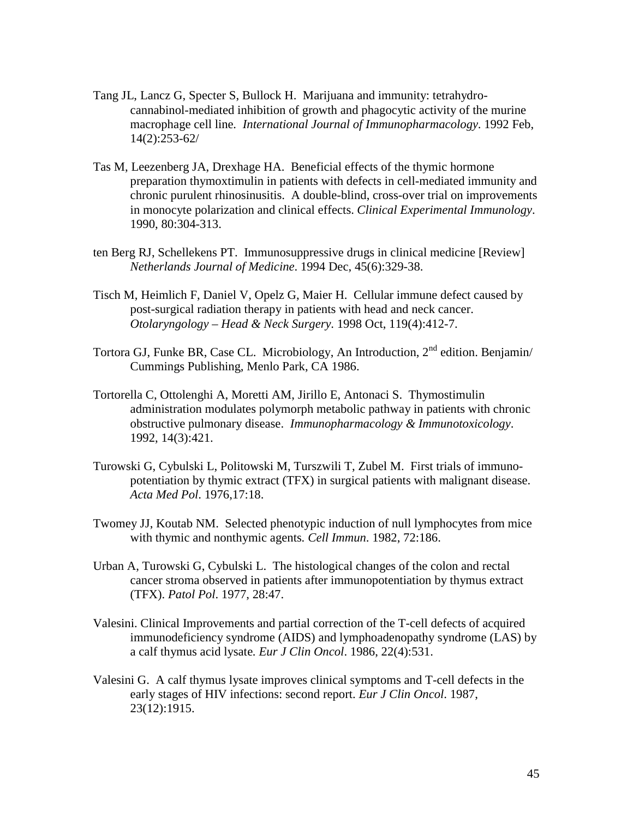- Tang JL, Lancz G, Specter S, Bullock H. Marijuana and immunity: tetrahydrocannabinol-mediated inhibition of growth and phagocytic activity of the murine macrophage cell line*. International Journal of Immunopharmacology*. 1992 Feb, 14(2):253-62/
- Tas M, Leezenberg JA, Drexhage HA. Beneficial effects of the thymic hormone preparation thymoxtimulin in patients with defects in cell-mediated immunity and chronic purulent rhinosinusitis. A double-blind, cross-over trial on improvements in monocyte polarization and clinical effects. *Clinical Experimental Immunology*. 1990, 80:304-313.
- ten Berg RJ, Schellekens PT. Immunosuppressive drugs in clinical medicine [Review] *Netherlands Journal of Medicine*. 1994 Dec, 45(6):329-38.
- Tisch M, Heimlich F, Daniel V, Opelz G, Maier H. Cellular immune defect caused by post-surgical radiation therapy in patients with head and neck cancer. *Otolaryngology – Head & Neck Surgery*. 1998 Oct, 119(4):412-7.
- Tortora GJ, Funke BR, Case CL. Microbiology, An Introduction,  $2<sup>nd</sup>$  edition. Benjamin/ Cummings Publishing, Menlo Park, CA 1986.
- Tortorella C, Ottolenghi A, Moretti AM, Jirillo E, Antonaci S. Thymostimulin administration modulates polymorph metabolic pathway in patients with chronic obstructive pulmonary disease. *Immunopharmacology & Immunotoxicology*. 1992, 14(3):421.
- Turowski G, Cybulski L, Politowski M, Turszwili T, Zubel M. First trials of immunopotentiation by thymic extract (TFX) in surgical patients with malignant disease. *Acta Med Pol*. 1976,17:18.
- Twomey JJ, Koutab NM. Selected phenotypic induction of null lymphocytes from mice with thymic and nonthymic agents*. Cell Immun*. 1982, 72:186.
- Urban A, Turowski G, Cybulski L. The histological changes of the colon and rectal cancer stroma observed in patients after immunopotentiation by thymus extract (TFX). *Patol Pol*. 1977, 28:47.
- Valesini. Clinical Improvements and partial correction of the T-cell defects of acquired immunodeficiency syndrome (AIDS) and lymphoadenopathy syndrome (LAS) by a calf thymus acid lysate*. Eur J Clin Oncol*. 1986, 22(4):531.
- Valesini G. A calf thymus lysate improves clinical symptoms and T-cell defects in the early stages of HIV infections: second report. *Eur J Clin Oncol*. 1987, 23(12):1915.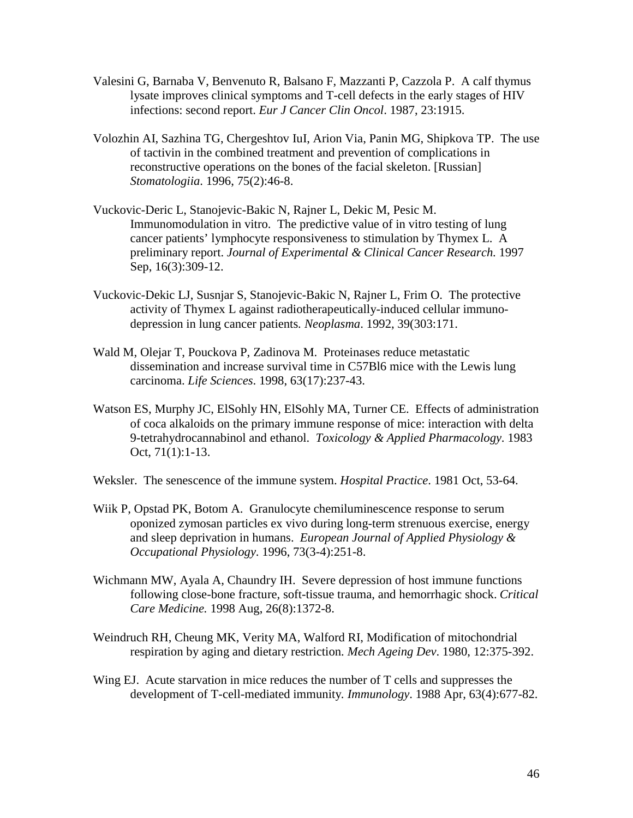- Valesini G, Barnaba V, Benvenuto R, Balsano F, Mazzanti P, Cazzola P. A calf thymus lysate improves clinical symptoms and T-cell defects in the early stages of HIV infections: second report. *Eur J Cancer Clin Oncol*. 1987, 23:1915.
- Volozhin AI, Sazhina TG, Chergeshtov IuI, Arion Via, Panin MG, Shipkova TP. The use of tactivin in the combined treatment and prevention of complications in reconstructive operations on the bones of the facial skeleton. [Russian] *Stomatologiia*. 1996, 75(2):46-8.
- Vuckovic-Deric L, Stanojevic-Bakic N, Rajner L, Dekic M, Pesic M. Immunomodulation in vitro. The predictive value of in vitro testing of lung cancer patients' lymphocyte responsiveness to stimulation by Thymex L. A preliminary report. *Journal of Experimental & Clinical Cancer Research.* 1997 Sep, 16(3):309-12.
- Vuckovic-Dekic LJ, Susnjar S, Stanojevic-Bakic N, Rajner L, Frim O. The protective activity of Thymex L against radiotherapeutically-induced cellular immunodepression in lung cancer patients*. Neoplasma*. 1992, 39(303:171.
- Wald M, Olejar T, Pouckova P, Zadinova M. Proteinases reduce metastatic dissemination and increase survival time in C57Bl6 mice with the Lewis lung carcinoma. *Life Sciences*. 1998, 63(17):237-43.
- Watson ES, Murphy JC, ElSohly HN, ElSohly MA, Turner CE. Effects of administration of coca alkaloids on the primary immune response of mice: interaction with delta 9-tetrahydrocannabinol and ethanol. *Toxicology & Applied Pharmacology*. 1983 Oct, 71(1):1-13.
- Weksler. The senescence of the immune system. *Hospital Practice*. 1981 Oct, 53-64.
- Wiik P, Opstad PK, Botom A. Granulocyte chemiluminescence response to serum oponized zymosan particles ex vivo during long-term strenuous exercise, energy and sleep deprivation in humans. *European Journal of Applied Physiology & Occupational Physiology*. 1996, 73(3-4):251-8.
- Wichmann MW, Ayala A, Chaundry IH. Severe depression of host immune functions following close-bone fracture, soft-tissue trauma, and hemorrhagic shock. *Critical Care Medicine.* 1998 Aug, 26(8):1372-8.
- Weindruch RH, Cheung MK, Verity MA, Walford RI, Modification of mitochondrial respiration by aging and dietary restriction*. Mech Ageing Dev*. 1980, 12:375-392.
- Wing EJ. Acute starvation in mice reduces the number of T cells and suppresses the development of T-cell-mediated immunity*. Immunology*. 1988 Apr, 63(4):677-82.